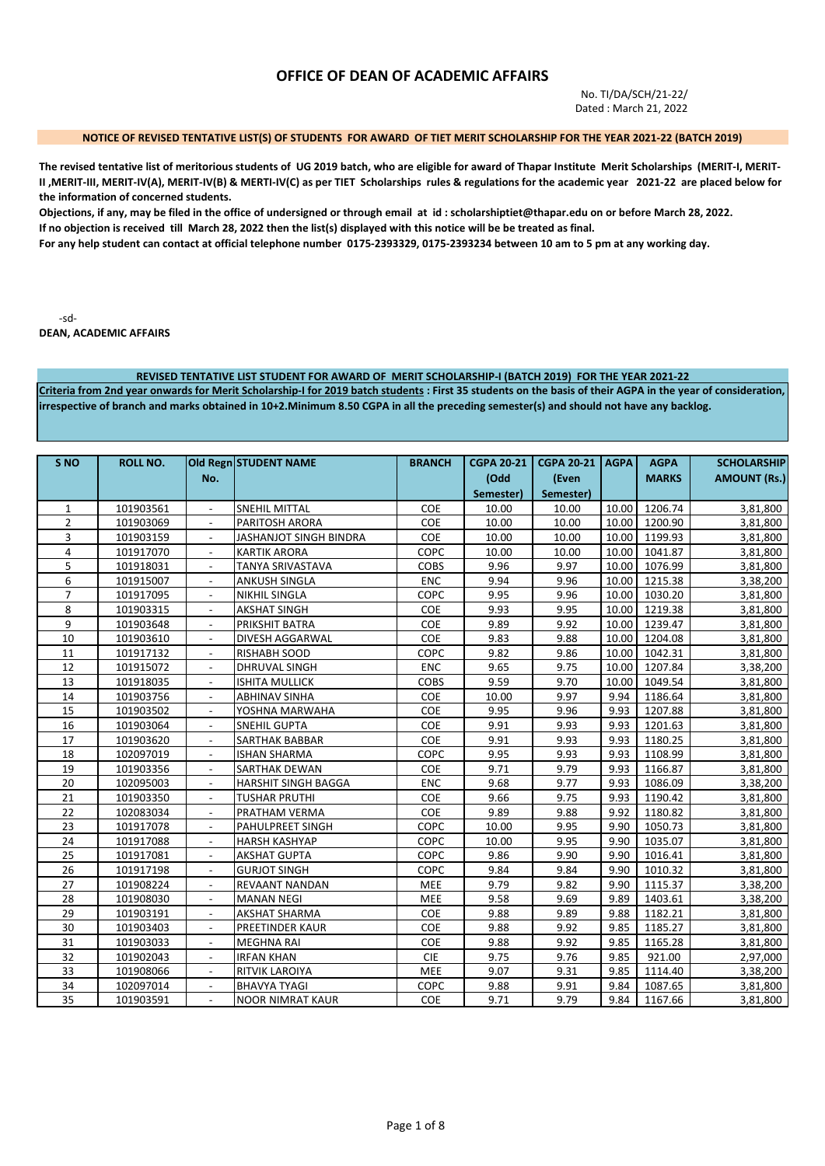# **OFFICE OF DEAN OF ACADEMIC AFFAIRS**

No. TI/DA/SCH/21-22/ Dated : March 21, 2022

#### **NOTICE OF REVISED TENTATIVE LIST(S) OF STUDENTS FOR AWARD OF TIET MERIT SCHOLARSHIP FOR THE YEAR 2021-22 (BATCH 2019)**

**The revised tentative list of meritorious students of UG 2019 batch, who are eligible for award of Thapar Institute Merit Scholarships (MERIT-I, MERIT-II ,MERIT-III, MERIT-IV(A), MERIT-IV(B) & MERTI-IV(C) as per TIET Scholarships rules & regulations for the academic year 2021-22 are placed below for the information of concerned students.** 

**Objections, if any, may be filed in the office of undersigned or through email at id : scholarshiptiet@thapar.edu on or before March 28, 2022. If no objection is received till March 28, 2022 then the list(s) displayed with this notice will be be treated as final.** 

**For any help student can contact at official telephone number 0175-2393329, 0175-2393234 between 10 am to 5 pm at any working day.** 

-sd-

**DEAN, ACADEMIC AFFAIRS**

#### **REVISED TENTATIVE LIST STUDENT FOR AWARD OF MERIT SCHOLARSHIP-I (BATCH 2019) FOR THE YEAR 2021-22**

**Criteria from 2nd year onwards for Merit Scholarship-I for 2019 batch students : First 35 students on the basis of their AGPA in the year of consideration, irrespective of branch and marks obtained in 10+2.Minimum 8.50 CGPA in all the preceding semester(s) and should not have any backlog.**

| S <sub>NO</sub> | <b>ROLL NO.</b> |                          | Old Regn STUDENT NAME         | <b>BRANCH</b> | <b>CGPA 20-21</b> | <b>CGPA 20-21</b> | <b>AGPA</b> | <b>AGPA</b>  | <b>SCHOLARSHIP</b>  |
|-----------------|-----------------|--------------------------|-------------------------------|---------------|-------------------|-------------------|-------------|--------------|---------------------|
|                 |                 | No.                      |                               |               | (Odd              | (Even             |             | <b>MARKS</b> | <b>AMOUNT (Rs.)</b> |
|                 |                 |                          |                               |               | Semester)         | Semester)         |             |              |                     |
| $\mathbf{1}$    | 101903561       |                          | <b>SNEHIL MITTAL</b>          | COE           | 10.00             | 10.00             | 10.00       | 1206.74      | 3,81,800            |
| $\overline{2}$  | 101903069       |                          | <b>PARITOSH ARORA</b>         | COE           | 10.00             | 10.00             | 10.00       | 1200.90      | 3,81,800            |
| 3               | 101903159       | $\overline{\phantom{a}}$ | <b>JASHANJOT SINGH BINDRA</b> | COE           | 10.00             | 10.00             | 10.00       | 1199.93      | 3,81,800            |
| 4               | 101917070       |                          | <b>KARTIK ARORA</b>           | COPC          | 10.00             | 10.00             | 10.00       | 1041.87      | 3,81,800            |
| 5               | 101918031       | $\blacksquare$           | <b>TANYA SRIVASTAVA</b>       | <b>COBS</b>   | 9.96              | 9.97              | 10.00       | 1076.99      | 3,81,800            |
| 6               | 101915007       | $\overline{\phantom{a}}$ | <b>ANKUSH SINGLA</b>          | <b>ENC</b>    | 9.94              | 9.96              | 10.00       | 1215.38      | 3,38,200            |
| $\overline{7}$  | 101917095       | $\overline{\phantom{a}}$ | <b>NIKHIL SINGLA</b>          | COPC          | 9.95              | 9.96              | 10.00       | 1030.20      | 3,81,800            |
| 8               | 101903315       | $\overline{\phantom{a}}$ | <b>AKSHAT SINGH</b>           | COE           | 9.93              | 9.95              | 10.00       | 1219.38      | 3,81,800            |
| 9               | 101903648       | $\overline{\phantom{a}}$ | PRIKSHIT BATRA                | COE           | 9.89              | 9.92              | 10.00       | 1239.47      | 3,81,800            |
| 10              | 101903610       | $\overline{\phantom{a}}$ | <b>DIVESH AGGARWAL</b>        | COE           | 9.83              | 9.88              | 10.00       | 1204.08      | 3,81,800            |
| 11              | 101917132       | $\overline{\phantom{a}}$ | <b>RISHABH SOOD</b>           | COPC          | 9.82              | 9.86              | 10.00       | 1042.31      | 3,81,800            |
| 12              | 101915072       | $\overline{\phantom{a}}$ | <b>DHRUVAL SINGH</b>          | <b>ENC</b>    | 9.65              | 9.75              | 10.00       | 1207.84      | 3,38,200            |
| 13              | 101918035       |                          | <b>ISHITA MULLICK</b>         | <b>COBS</b>   | 9.59              | 9.70              | 10.00       | 1049.54      | 3,81,800            |
| 14              | 101903756       |                          | <b>ABHINAV SINHA</b>          | <b>COE</b>    | 10.00             | 9.97              | 9.94        | 1186.64      | 3,81,800            |
| 15              | 101903502       |                          | YOSHNA MARWAHA                | COE           | 9.95              | 9.96              | 9.93        | 1207.88      | 3,81,800            |
| 16              | 101903064       |                          | <b>SNEHIL GUPTA</b>           | COE           | 9.91              | 9.93              | 9.93        | 1201.63      | 3,81,800            |
| 17              | 101903620       | $\blacksquare$           | SARTHAK BABBAR                | COE           | 9.91              | 9.93              | 9.93        | 1180.25      | 3,81,800            |
| 18              | 102097019       | $\overline{a}$           | <b>ISHAN SHARMA</b>           | COPC          | 9.95              | 9.93              | 9.93        | 1108.99      | 3,81,800            |
| 19              | 101903356       |                          | <b>SARTHAK DEWAN</b>          | COE           | 9.71              | 9.79              | 9.93        | 1166.87      | 3,81,800            |
| 20              | 102095003       | $\blacksquare$           | <b>HARSHIT SINGH BAGGA</b>    | <b>ENC</b>    | 9.68              | 9.77              | 9.93        | 1086.09      | 3,38,200            |
| 21              | 101903350       |                          | <b>TUSHAR PRUTHI</b>          | COE           | 9.66              | 9.75              | 9.93        | 1190.42      | 3,81,800            |
| 22              | 102083034       |                          | PRATHAM VERMA                 | <b>COE</b>    | 9.89              | 9.88              | 9.92        | 1180.82      | 3,81,800            |
| 23              | 101917078       | $\blacksquare$           | PAHULPREET SINGH              | COPC          | 10.00             | 9.95              | 9.90        | 1050.73      | 3,81,800            |
| 24              | 101917088       | $\blacksquare$           | <b>HARSH KASHYAP</b>          | COPC          | 10.00             | 9.95              | 9.90        | 1035.07      | 3,81,800            |
| 25              | 101917081       | $\overline{\phantom{a}}$ | <b>AKSHAT GUPTA</b>           | COPC          | 9.86              | 9.90              | 9.90        | 1016.41      | 3,81,800            |
| 26              | 101917198       | $\overline{\phantom{a}}$ | <b>GURJOT SINGH</b>           | COPC          | 9.84              | 9.84              | 9.90        | 1010.32      | 3,81,800            |
| 27              | 101908224       | $\overline{\phantom{a}}$ | REVAANT NANDAN                | MEE           | 9.79              | 9.82              | 9.90        | 1115.37      | 3,38,200            |
| 28              | 101908030       | $\overline{\phantom{a}}$ | <b>MANAN NEGI</b>             | MEE           | 9.58              | 9.69              | 9.89        | 1403.61      | 3,38,200            |
| 29              | 101903191       | $\overline{\phantom{a}}$ | <b>AKSHAT SHARMA</b>          | COE           | 9.88              | 9.89              | 9.88        | 1182.21      | 3,81,800            |
| 30              | 101903403       |                          | PREETINDER KAUR               | <b>COE</b>    | 9.88              | 9.92              | 9.85        | 1185.27      | 3,81,800            |
| 31              | 101903033       |                          | <b>MEGHNA RAI</b>             | COE           | 9.88              | 9.92              | 9.85        | 1165.28      | 3,81,800            |
| 32              | 101902043       |                          | <b>IRFAN KHAN</b>             | <b>CIE</b>    | 9.75              | 9.76              | 9.85        | 921.00       | 2,97,000            |
| 33              | 101908066       |                          | RITVIK LAROIYA                | MEE           | 9.07              | 9.31              | 9.85        | 1114.40      | 3,38,200            |
| 34              | 102097014       | $\blacksquare$           | <b>BHAVYA TYAGI</b>           | COPC          | 9.88              | 9.91              | 9.84        | 1087.65      | 3,81,800            |
| 35              | 101903591       | $\overline{a}$           | <b>NOOR NIMRAT KAUR</b>       | COE           | 9.71              | 9.79              | 9.84        | 1167.66      | 3,81,800            |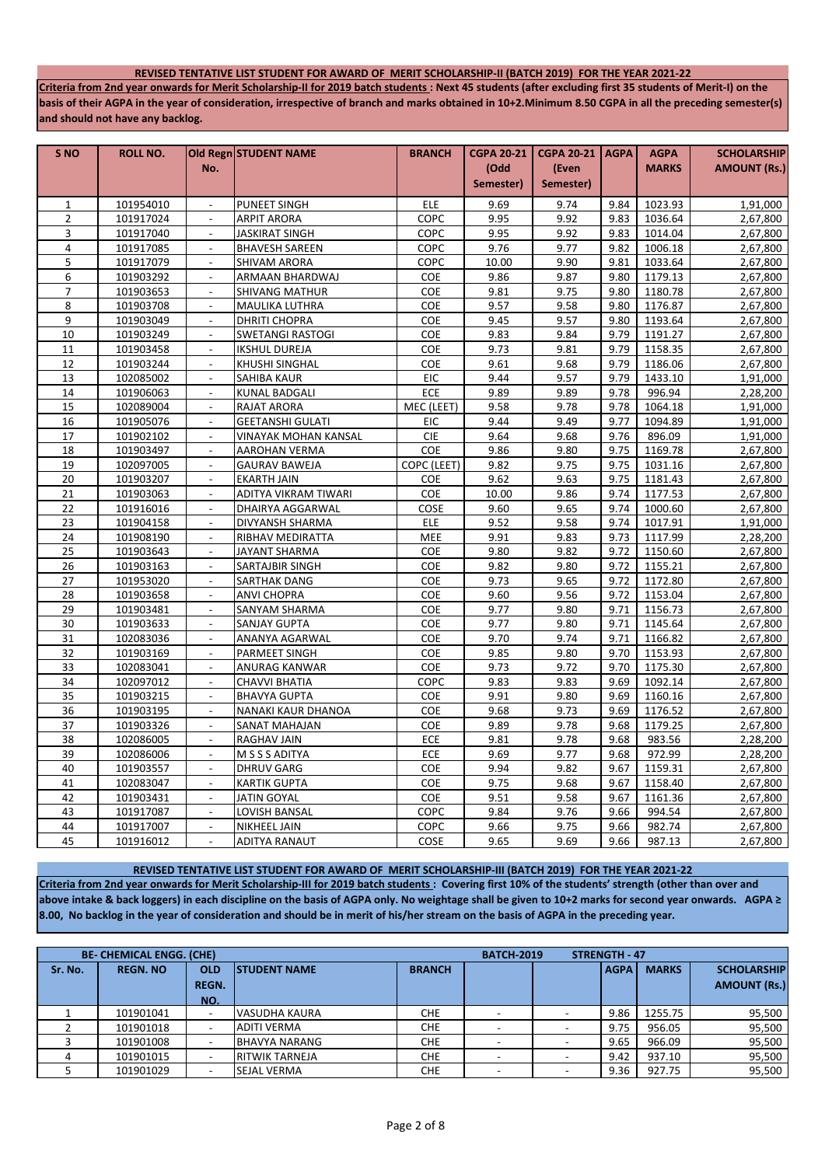### **REVISED TENTATIVE LIST STUDENT FOR AWARD OF MERIT SCHOLARSHIP-II (BATCH 2019) FOR THE YEAR 2021-22**

**Criteria from 2nd year onwards for Merit Scholarship-II for 2019 batch students : Next 45 students (after excluding first 35 students of Merit-I) on the basis of their AGPA in the year of consideration, irrespective of branch and marks obtained in 10+2.Minimum 8.50 CGPA in all the preceding semester(s) and should not have any backlog.**

| S <sub>NO</sub> | <b>ROLL NO.</b> |                          | Old Regn STUDENT NAME   | <b>BRANCH</b>         | <b>CGPA 20-21</b> | <b>CGPA 20-21   AGPA</b> |      | <b>AGPA</b>  | <b>SCHOLARSHIP</b>  |
|-----------------|-----------------|--------------------------|-------------------------|-----------------------|-------------------|--------------------------|------|--------------|---------------------|
|                 |                 | No.                      |                         |                       | (Odd              | (Even                    |      | <b>MARKS</b> | <b>AMOUNT (Rs.)</b> |
|                 |                 |                          |                         |                       | Semester)         | Semester)                |      |              |                     |
| $\mathbf{1}$    | 101954010       | $\blacksquare$           | PUNEET SINGH            | ELE                   | 9.69              | 9.74                     | 9.84 | 1023.93      | 1,91,000            |
| $\overline{2}$  | 101917024       |                          | ARPIT ARORA             | <b>COPC</b>           | 9.95              | 9.92                     | 9.83 | 1036.64      | 2,67,800            |
| 3               | 101917040       | $\blacksquare$           | JASKIRAT SINGH          | COPC                  | 9.95              | 9.92                     | 9.83 | 1014.04      | 2,67,800            |
| $\overline{4}$  | 101917085       | $\overline{a}$           | <b>BHAVESH SAREEN</b>   | COPC                  | 9.76              | 9.77                     | 9.82 | 1006.18      | 2,67,800            |
| 5               | 101917079       | $\blacksquare$           | SHIVAM ARORA            | COPC                  | 10.00             | 9.90                     | 9.81 | 1033.64      | 2,67,800            |
| 6               | 101903292       | $\sim$                   | ARMAAN BHARDWAJ         | COE                   | 9.86              | 9.87                     | 9.80 | 1179.13      | 2,67,800            |
| 7               | 101903653       | $\overline{a}$           | SHIVANG MATHUR          | <b>COE</b>            | 9.81              | 9.75                     | 9.80 | 1180.78      | 2,67,800            |
| 8               | 101903708       | $\overline{\phantom{a}}$ | MAULIKA LUTHRA          | COE                   | 9.57              | 9.58                     | 9.80 | 1176.87      | 2,67,800            |
| 9               | 101903049       | $\blacksquare$           | DHRITI CHOPRA           | COE                   | 9.45              | 9.57                     | 9.80 | 1193.64      | 2,67,800            |
| 10              | 101903249       | $\overline{\phantom{a}}$ | SWETANGI RASTOGI        | COE                   | 9.83              | 9.84                     | 9.79 | 1191.27      | 2,67,800            |
| 11              | 101903458       | $\overline{a}$           | IKSHUL DUREJA           | COE                   | 9.73              | 9.81                     | 9.79 | 1158.35      | 2,67,800            |
| 12              | 101903244       | $\sim$                   | KHUSHI SINGHAL          | COE                   | 9.61              | 9.68                     | 9.79 | 1186.06      | 2,67,800            |
| 13              | 102085002       | $\overline{\phantom{a}}$ | <b>SAHIBA KAUR</b>      | EIC                   | 9.44              | 9.57                     | 9.79 | 1433.10      | 1,91,000            |
| 14              | 101906063       | $\sim$                   | KUNAL BADGALI           | <b>ECE</b>            | 9.89              | 9.89                     | 9.78 | 996.94       | 2,28,200            |
| 15              | 102089004       | $\overline{a}$           | RAJAT ARORA             | MEC (LEET)            | 9.58              | 9.78                     | 9.78 | 1064.18      | 1,91,000            |
| 16              | 101905076       | $\blacksquare$           | <b>GEETANSHI GULATI</b> | EIC                   | 9.44              | 9.49                     | 9.77 | 1094.89      | 1,91,000            |
| $17\,$          | 101902102       | $\blacksquare$           | VINAYAK MOHAN KANSAL    | <b>CIE</b>            | 9.64              | 9.68                     | 9.76 | 896.09       | 1,91,000            |
| 18              | 101903497       | $\mathbf{r}$             | AAROHAN VERMA           | COE                   | 9.86              | 9.80                     | 9.75 | 1169.78      | 2,67,800            |
| 19              | 102097005       | $\overline{a}$           | <b>GAURAV BAWEJA</b>    | COPC (LEET)           | 9.82              | 9.75                     | 9.75 | 1031.16      | 2,67,800            |
| 20              | 101903207       | $\mathbf{r}$             | <b>EKARTH JAIN</b>      | COE                   | 9.62              | 9.63                     | 9.75 | 1181.43      | 2,67,800            |
| 21              | 101903063       | $\overline{a}$           | ADITYA VIKRAM TIWARI    | COE                   | 10.00             | 9.86                     | 9.74 | 1177.53      | 2,67,800            |
| 22              | 101916016       | $\mathbb{L}$             | DHAIRYA AGGARWAL        | COSE                  | 9.60              | 9.65                     | 9.74 | 1000.60      | 2,67,800            |
| 23              | 101904158       | $\blacksquare$           | DIVYANSH SHARMA         | <b>ELE</b>            | 9.52              | 9.58                     | 9.74 | 1017.91      | 1,91,000            |
| 24              | 101908190       |                          | RIBHAV MEDIRATTA        | MEE                   | 9.91              | 9.83                     | 9.73 | 1117.99      | 2,28,200            |
| 25              | 101903643       |                          | JAYANT SHARMA           | COE                   | 9.80              | 9.82                     | 9.72 | 1150.60      | 2,67,800            |
| 26              | 101903163       | $\blacksquare$           | <b>SARTAJBIR SINGH</b>  | COE                   | 9.82              | 9.80                     | 9.72 | 1155.21      | 2,67,800            |
| 27              | 101953020       | $\sim$                   | SARTHAK DANG            | COE                   | 9.73              | 9.65                     | 9.72 | 1172.80      | 2,67,800            |
| 28              | 101903658       | $\overline{\phantom{a}}$ | ANVI CHOPRA             | COE                   | 9.60              | 9.56                     | 9.72 | 1153.04      | 2,67,800            |
| 29              | 101903481       | $\blacksquare$           | SANYAM SHARMA           | COE                   | 9.77              | 9.80                     | 9.71 | 1156.73      | 2,67,800            |
| 30              | 101903633       | $\sim$                   | SANJAY GUPTA            | COE                   | 9.77              | 9.80                     | 9.71 | 1145.64      | 2,67,800            |
| 31              | 102083036       | $\blacksquare$           | ANANYA AGARWAL          | COE                   | 9.70              | 9.74                     | 9.71 | 1166.82      | 2,67,800            |
| 32              | 101903169       |                          | PARMEET SINGH           | COE                   | 9.85              | 9.80                     | 9.70 | 1153.93      | 2,67,800            |
| 33              | 102083041       | $\blacksquare$           | ANURAG KANWAR           | COE                   | 9.73              | 9.72                     | 9.70 | 1175.30      | 2,67,800            |
| 34              | 102097012       | $\overline{a}$           | CHAVVI BHATIA           | COPC                  | 9.83              | 9.83                     | 9.69 | 1092.14      | 2,67,800            |
| 35              | 101903215       | $\mathbf{r}$             | <b>BHAVYA GUPTA</b>     | COE                   | 9.91              | 9.80                     | 9.69 | 1160.16      | 2,67,800            |
| 36              | 101903195       | $\overline{a}$           | NANAKI KAUR DHANOA      | COE                   | 9.68              | 9.73                     | 9.69 | 1176.52      | 2,67,800            |
| 37              | 101903326       | $\mathbf{r}$             | SANAT MAHAJAN           | $\mathsf{COE}\xspace$ | 9.89              | 9.78                     | 9.68 | 1179.25      | 2,67,800            |
| 38              | 102086005       | $\overline{\phantom{a}}$ | RAGHAV JAIN             | ECE                   | 9.81              | 9.78                     | 9.68 | 983.56       | 2,28,200            |
| 39              | 102086006       | $\blacksquare$           | M S S S ADITYA          | ECE                   | 9.69              | 9.77                     | 9.68 | 972.99       | 2,28,200            |
| 40              | 101903557       | $\sim$                   | <b>DHRUV GARG</b>       | COE                   | 9.94              | 9.82                     | 9.67 | 1159.31      | 2,67,800            |
| 41              | 102083047       | $\overline{\phantom{a}}$ | KARTIK GUPTA            | COE                   | 9.75              | 9.68                     | 9.67 | 1158.40      | 2,67,800            |
| 42              | 101903431       | $\sim$                   | JATIN GOYAL             | COE                   | 9.51              | 9.58                     | 9.67 | 1161.36      | 2,67,800            |
| 43              | 101917087       | $\overline{\phantom{a}}$ | LOVISH BANSAL           | COPC                  | 9.84              | 9.76                     | 9.66 | 994.54       | 2,67,800            |
| 44              | 101917007       | $\blacksquare$           | NIKHEEL JAIN            | COPC                  | 9.66              | 9.75                     | 9.66 | 982.74       | 2,67,800            |
| 45              | 101916012       | $\overline{a}$           | ADITYA RANAUT           | COSE                  | 9.65              | 9.69                     | 9.66 | 987.13       | 2,67,800            |

**REVISED TENTATIVE LIST STUDENT FOR AWARD OF MERIT SCHOLARSHIP-III (BATCH 2019) FOR THE YEAR 2021-22**

**Criteria from 2nd year onwards for Merit Scholarship-III for 2019 batch students : Covering first 10% of the students' strength (other than over and above intake & back loggers) in each discipline on the basis of AGPA only. No weightage shall be given to 10+2 marks for second year onwards. AGPA ≥ 8.00, No backlog in the year of consideration and should be in merit of his/her stream on the basis of AGPA in the preceding year.**

|         | <b>BE- CHEMICAL ENGG. (CHE)</b> |                                   |                       |               | <b>BATCH-2019</b> | <b>STRENGTH - 47</b> |              |                                           |
|---------|---------------------------------|-----------------------------------|-----------------------|---------------|-------------------|----------------------|--------------|-------------------------------------------|
| Sr. No. | <b>REGN. NO</b>                 | <b>OLD</b><br><b>REGN.</b><br>NO. | <b>ISTUDENT NAME</b>  | <b>BRANCH</b> |                   | <b>AGPA</b>          | <b>MARKS</b> | <b>SCHOLARSHIP</b><br><b>AMOUNT (Rs.)</b> |
|         | 101901041                       |                                   | VASUDHA KAURA         | <b>CHE</b>    |                   | 9.86                 | 1255.75      | 95,500                                    |
|         | 101901018                       |                                   | <b>ADITI VERMA</b>    | <b>CHE</b>    |                   | 9.75                 | 956.05       | 95,500                                    |
|         | 101901008                       |                                   | <b>BHAVYA NARANG</b>  | <b>CHE</b>    |                   | 9.65                 | 966.09       | 95,500                                    |
|         | 101901015                       |                                   | <b>RITWIK TARNEJA</b> | <b>CHE</b>    |                   | 9.42                 | 937.10       | 95,500                                    |
|         | 101901029                       |                                   | <b>SEJAL VERMA</b>    | <b>CHE</b>    |                   | 9.36                 | 927.75       | 95,500                                    |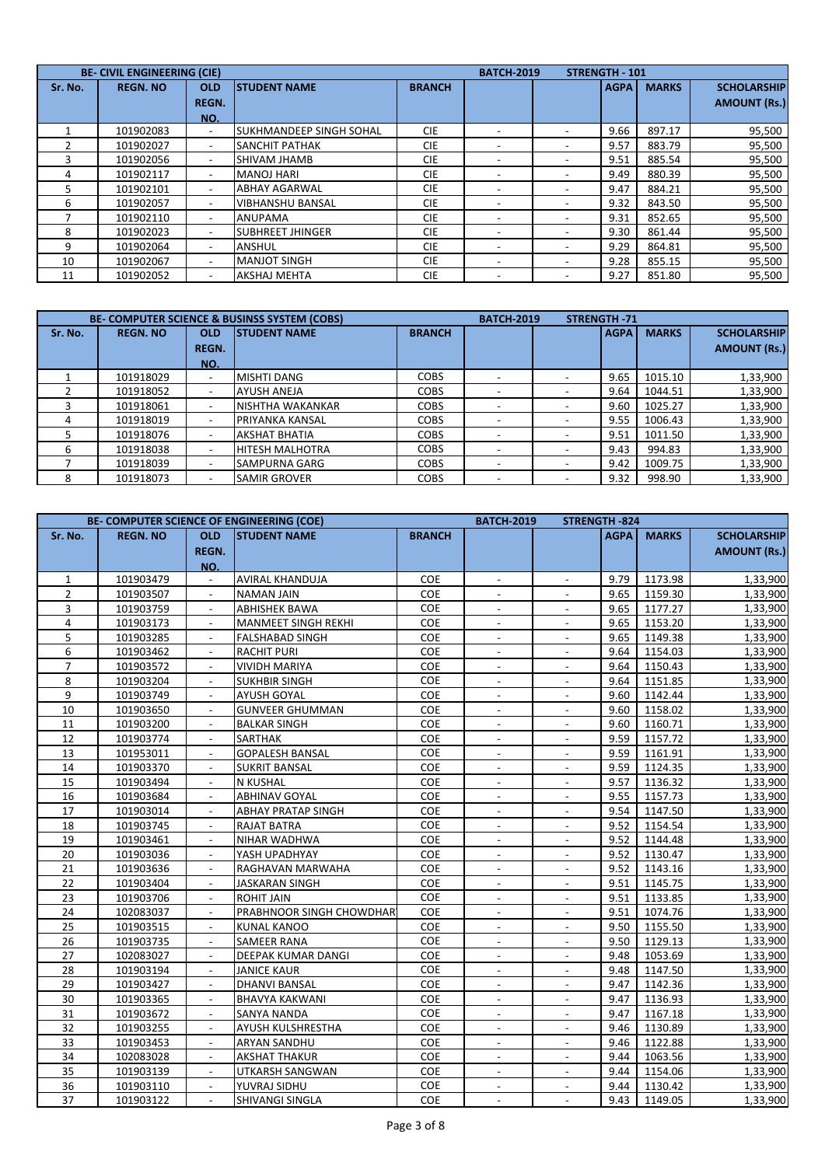|         | <b>BE- CIVIL ENGINEERING (CIE)</b> |                                   |                                |               | <b>BATCH-2019</b>        | <b>STRENGTH - 101</b> |              |                                           |
|---------|------------------------------------|-----------------------------------|--------------------------------|---------------|--------------------------|-----------------------|--------------|-------------------------------------------|
| Sr. No. | <b>REGN. NO</b>                    | <b>OLD</b><br><b>REGN.</b><br>NO. | <b>ISTUDENT NAME</b>           | <b>BRANCH</b> |                          | <b>AGPA</b>           | <b>MARKS</b> | <b>SCHOLARSHIP</b><br><b>AMOUNT (Rs.)</b> |
|         | 101902083                          | $\overline{\phantom{a}}$          | <b>SUKHMANDEEP SINGH SOHAL</b> | <b>CIE</b>    |                          | 9.66                  | 897.17       | 95,500                                    |
|         | 101902027                          | $\overline{\phantom{0}}$          | <b>SANCHIT PATHAK</b>          | <b>CIE</b>    | $\overline{\phantom{a}}$ | 9.57                  | 883.79       | 95,500                                    |
|         | 101902056                          |                                   | <b>SHIVAM JHAMB</b>            | <b>CIE</b>    | $\overline{\phantom{a}}$ | 9.51                  | 885.54       | 95,500                                    |
|         | 101902117                          | $\overline{\phantom{a}}$          | <b>MANOJ HARI</b>              | <b>CIE</b>    | $\overline{\phantom{a}}$ | 9.49                  | 880.39       | 95,500                                    |
| 5       | 101902101                          |                                   | <b>ABHAY AGARWAL</b>           | <b>CIE</b>    |                          | 9.47                  | 884.21       | 95,500                                    |
| 6       | 101902057                          | $\overline{\phantom{0}}$          | <b>VIBHANSHU BANSAL</b>        | <b>CIE</b>    | $\overline{\phantom{a}}$ | 9.32                  | 843.50       | 95,500                                    |
|         | 101902110                          | $\overline{\phantom{0}}$          | <b>ANUPAMA</b>                 | <b>CIE</b>    | $\overline{\phantom{a}}$ | 9.31                  | 852.65       | 95,500                                    |
| 8       | 101902023                          | $\overline{\phantom{a}}$          | <b>SUBHREET JHINGER</b>        | <b>CIE</b>    | $\overline{\phantom{a}}$ | 9.30                  | 861.44       | 95,500                                    |
| 9       | 101902064                          | $\overline{\phantom{a}}$          | <b>ANSHUL</b>                  | <b>CIE</b>    | $\overline{\phantom{a}}$ | 9.29                  | 864.81       | 95,500                                    |
| 10      | 101902067                          | $\overline{\phantom{a}}$          | <b>MANJOT SINGH</b>            | <b>CIE</b>    | $\overline{\phantom{a}}$ | 9.28                  | 855.15       | 95,500                                    |
| 11      | 101902052                          | $\overline{\phantom{0}}$          | <b>AKSHAJ MEHTA</b>            | <b>CIE</b>    |                          | 9.27                  | 851.80       | 95,500                                    |

|         | <b>BE- COMPUTER SCIENCE &amp; BUSINSS SYSTEM (COBS)</b> |              | <b>BATCH-2019</b>      | <b>STRENGTH-71</b> |  |             |              |                     |
|---------|---------------------------------------------------------|--------------|------------------------|--------------------|--|-------------|--------------|---------------------|
| Sr. No. | <b>REGN. NO</b>                                         | <b>OLD</b>   | <b>ISTUDENT NAME</b>   | <b>BRANCH</b>      |  | <b>AGPA</b> | <b>MARKS</b> | <b>SCHOLARSHIP</b>  |
|         |                                                         | <b>REGN.</b> |                        |                    |  |             |              | <b>AMOUNT (Rs.)</b> |
|         |                                                         | NO.          |                        |                    |  |             |              |                     |
|         | 101918029                                               |              | <b>MISHTI DANG</b>     | <b>COBS</b>        |  | 9.65        | 1015.10      | 1,33,900            |
|         | 101918052                                               | -            | <b>AYUSH ANEJA</b>     | <b>COBS</b>        |  | 9.64        | 1044.51      | 1,33,900            |
|         | 101918061                                               | -            | NISHTHA WAKANKAR       | <b>COBS</b>        |  | 9.60        | 1025.27      | 1,33,900            |
| 4       | 101918019                                               | -            | PRIYANKA KANSAL        | <b>COBS</b>        |  | 9.55        | 1006.43      | 1,33,900            |
|         | 101918076                                               |              | <b>AKSHAT BHATIA</b>   | <b>COBS</b>        |  | 9.51        | 1011.50      | 1,33,900            |
| 6       | 101918038                                               | -            | <b>HITESH MALHOTRA</b> | <b>COBS</b>        |  | 9.43        | 994.83       | 1,33,900            |
|         | 101918039                                               | -            | <b>SAMPURNA GARG</b>   | <b>COBS</b>        |  | 9.42        | 1009.75      | 1,33,900            |
| 8       | 101918073                                               |              | <b>SAMIR GROVER</b>    | <b>COBS</b>        |  | 9.32        | 998.90       | 1,33,900            |

| BE- COMPUTER SCIENCE OF ENGINEERING (COE) |                 |                          |                           |               | <b>BATCH-2019</b>        |                          | <b>STRENGTH-824</b> |              |                     |
|-------------------------------------------|-----------------|--------------------------|---------------------------|---------------|--------------------------|--------------------------|---------------------|--------------|---------------------|
| Sr. No.                                   | <b>REGN. NO</b> | <b>OLD</b>               | <b>STUDENT NAME</b>       | <b>BRANCH</b> |                          |                          | <b>AGPA</b>         | <b>MARKS</b> | <b>SCHOLARSHIP</b>  |
|                                           |                 | <b>REGN.</b>             |                           |               |                          |                          |                     |              | <b>AMOUNT (Rs.)</b> |
|                                           |                 | NO.                      |                           |               |                          |                          |                     |              |                     |
| $\mathbf{1}$                              | 101903479       | $\overline{\phantom{a}}$ | AVIRAL KHANDUJA           | COE           | $\overline{\phantom{a}}$ | $\overline{\phantom{a}}$ | 9.79                | 1173.98      | 1,33,900            |
| $\overline{2}$                            | 101903507       | $\overline{\phantom{a}}$ | <b>NAMAN JAIN</b>         | COE           |                          |                          | 9.65                | 1159.30      | 1,33,900            |
| 3                                         | 101903759       | $\blacksquare$           | <b>ABHISHEK BAWA</b>      | COE           | $\blacksquare$           |                          | 9.65                | 1177.27      | 1,33,900            |
| 4                                         | 101903173       |                          | MANMEET SINGH REKHI       | COE           |                          |                          | 9.65                | 1153.20      | 1,33,900            |
| 5                                         | 101903285       | $\overline{\phantom{0}}$ | FALSHABAD SINGH           | COE           | $\overline{\phantom{a}}$ |                          | 9.65                | 1149.38      | 1,33,900            |
| 6                                         | 101903462       | $\overline{\phantom{a}}$ | <b>RACHIT PURI</b>        | COE           | $\overline{\phantom{a}}$ | $\overline{\phantom{a}}$ | 9.64                | 1154.03      | 1,33,900            |
| $\overline{7}$                            | 101903572       | $\overline{\phantom{a}}$ | VIVIDH MARIYA             | COE           | $\overline{\phantom{a}}$ | $\overline{a}$           | 9.64                | 1150.43      | 1,33,900            |
| 8                                         | 101903204       |                          | SUKHBIR SINGH             | COE           |                          |                          | 9.64                | 1151.85      | 1,33,900            |
| 9                                         | 101903749       | $\overline{\phantom{a}}$ | AYUSH GOYAL               | COE           |                          |                          | 9.60                | 1142.44      | 1,33,900            |
| 10                                        | 101903650       | $\overline{\phantom{a}}$ | <b>GUNVEER GHUMMAN</b>    | COE           |                          |                          | 9.60                | 1158.02      | 1,33,900            |
| 11                                        | 101903200       | $\blacksquare$           | <b>BALKAR SINGH</b>       | COE           | $\blacksquare$           |                          | 9.60                | 1160.71      | 1,33,900            |
| 12                                        | 101903774       | $\overline{\phantom{a}}$ | <b>SARTHAK</b>            | COE           | $\overline{\phantom{a}}$ | $\blacksquare$           | 9.59                | 1157.72      | 1,33,900            |
| 13                                        | 101953011       |                          | <b>GOPALESH BANSAL</b>    | COE           |                          |                          | 9.59                | 1161.91      | 1,33,900            |
| 14                                        | 101903370       | $\overline{\phantom{a}}$ | <b>SUKRIT BANSAL</b>      | COE           | $\blacksquare$           | $\overline{\phantom{a}}$ | 9.59                | 1124.35      | 1,33,900            |
| 15                                        | 101903494       |                          | N KUSHAL                  | COE           |                          |                          | 9.57                | 1136.32      | 1,33,900            |
| 16                                        | 101903684       | $\blacksquare$           | <b>ABHINAV GOYAL</b>      | COE           | $\overline{a}$           | L,                       | 9.55                | 1157.73      | 1,33,900            |
| 17                                        | 101903014       | $\overline{\phantom{a}}$ | <b>ABHAY PRATAP SINGH</b> | COE           | $\overline{\phantom{a}}$ | $\overline{\phantom{a}}$ | 9.54                | 1147.50      | 1,33,900            |
| 18                                        | 101903745       | $\overline{\phantom{a}}$ | RAJAT BATRA               | COE           | $\overline{\phantom{a}}$ |                          | 9.52                | 1154.54      | 1,33,900            |
| 19                                        | 101903461       |                          | NIHAR WADHWA              | COE           |                          |                          | 9.52                | 1144.48      | 1,33,900            |
| 20                                        | 101903036       | $\overline{\phantom{a}}$ | YASH UPADHYAY             | <b>COE</b>    |                          |                          | 9.52                | 1130.47      | 1,33,900            |
| 21                                        | 101903636       | $\blacksquare$           | RAGHAVAN MARWAHA          | COE           |                          |                          | 9.52                | 1143.16      | 1,33,900            |
| 22                                        | 101903404       | $\blacksquare$           | JASKARAN SINGH            | COE           | $\blacksquare$           | $\overline{a}$           | 9.51                | 1145.75      | 1,33,900            |
| 23                                        | 101903706       | $\overline{\phantom{a}}$ | <b>ROHIT JAIN</b>         | COE           | $\overline{\phantom{a}}$ | $\overline{a}$           | 9.51                | 1133.85      | 1,33,900            |
| 24                                        | 102083037       |                          | PRABHNOOR SINGH CHOWDHAR  | COE           |                          |                          | 9.51                | 1074.76      | 1,33,900            |
| 25                                        | 101903515       | $\overline{\phantom{a}}$ | <b>KUNAL KANOO</b>        | <b>COE</b>    | $\overline{\phantom{a}}$ | $\overline{a}$           | 9.50                | 1155.50      | 1,33,900            |
| 26                                        | 101903735       | $\blacksquare$           | <b>SAMEER RANA</b>        | COE           |                          |                          | 9.50                | 1129.13      | 1,33,900            |
| 27                                        | 102083027       | $\overline{a}$           | DEEPAK KUMAR DANGI        | COE           | $\blacksquare$           |                          | 9.48                | 1053.69      | 1,33,900            |
| 28                                        | 101903194       | $\blacksquare$           | <b>JANICE KAUR</b>        | COE           | $\overline{\phantom{a}}$ | $\overline{\phantom{a}}$ | 9.48                | 1147.50      | 1,33,900            |
| 29                                        | 101903427       | $\blacksquare$           | <b>DHANVI BANSAL</b>      | COE           |                          |                          | 9.47                | 1142.36      | 1,33,900            |
| 30                                        | 101903365       |                          | BHAVYA KAKWANI            | COE           |                          |                          | 9.47                | 1136.93      | 1,33,900            |
| 31                                        | 101903672       | $\blacksquare$           | <b>SANYA NANDA</b>        | COE           |                          |                          | 9.47                | 1167.18      | 1,33,900            |
| 32                                        | 101903255       | $\overline{\phantom{a}}$ | AYUSH KULSHRESTHA         | COE           |                          |                          | 9.46                | 1130.89      | 1,33,900            |
| 33                                        | 101903453       | $\overline{\phantom{a}}$ | ARYAN SANDHU              | COE           | $\overline{\phantom{a}}$ | $\overline{\phantom{a}}$ | 9.46                | 1122.88      | 1,33,900            |
| 34                                        | 102083028       | $\overline{\phantom{a}}$ | <b>AKSHAT THAKUR</b>      | COE           | $\overline{\phantom{a}}$ | $\overline{a}$           | 9.44                | 1063.56      | 1,33,900            |
| 35                                        | 101903139       |                          | UTKARSH SANGWAN           | COE           |                          |                          | 9.44                | 1154.06      | 1,33,900            |
| 36                                        | 101903110       | $\blacksquare$           | YUVRAJ SIDHU              | COE           | $\overline{\phantom{a}}$ |                          | 9.44                | 1130.42      | 1,33,900            |
| 37                                        | 101903122       |                          | SHIVANGI SINGLA           | <b>COE</b>    |                          |                          | 9.43                | 1149.05      | 1,33,900            |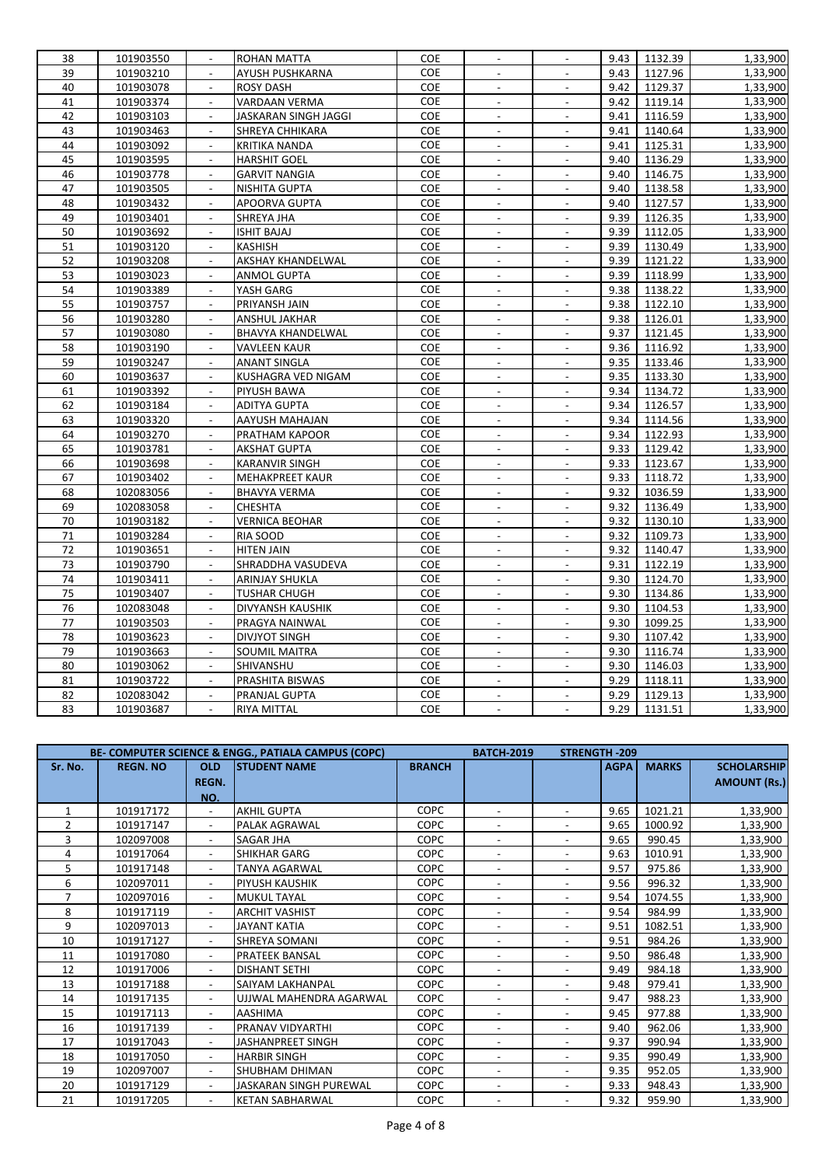| 38 | 101903550 |                          | ROHAN MATTA           | <b>COE</b> |                           |                          | 9.43 | 1132.39 | 1,33,900 |
|----|-----------|--------------------------|-----------------------|------------|---------------------------|--------------------------|------|---------|----------|
| 39 | 101903210 |                          | AYUSH PUSHKARNA       | COE        |                           |                          | 9.43 | 1127.96 | 1,33,900 |
| 40 | 101903078 |                          | <b>ROSY DASH</b>      | COE        | $\overline{\phantom{a}}$  |                          | 9.42 | 1129.37 | 1,33,900 |
| 41 | 101903374 |                          | <b>VARDAAN VERMA</b>  | COE        |                           |                          | 9.42 | 1119.14 | 1,33,900 |
| 42 | 101903103 | $\overline{\phantom{a}}$ | JASKARAN SINGH JAGGI  | COE        | $\blacksquare$            | $\overline{\phantom{a}}$ | 9.41 | 1116.59 | 1,33,900 |
| 43 | 101903463 |                          | SHREYA CHHIKARA       | COE        | $\blacksquare$            | $\overline{\phantom{a}}$ | 9.41 | 1140.64 | 1,33,900 |
| 44 | 101903092 | $\overline{a}$           | KRITIKA NANDA         | COE        |                           |                          | 9.41 | 1125.31 | 1,33,900 |
| 45 | 101903595 | $\blacksquare$           | <b>HARSHIT GOEL</b>   | COE        | $\overline{\phantom{a}}$  | $\overline{\phantom{a}}$ | 9.40 | 1136.29 | 1,33,900 |
| 46 | 101903778 | $\overline{a}$           | <b>GARVIT NANGIA</b>  | COE        | $\sim$                    | $\sim$                   | 9.40 | 1146.75 | 1,33,900 |
| 47 | 101903505 | $\blacksquare$           | NISHITA GUPTA         | COE        | $\mathbb{L}^2$            | $\mathcal{L}$            | 9.40 | 1138.58 | 1,33,900 |
| 48 | 101903432 |                          | APOORVA GUPTA         | COE        | $\overline{\phantom{a}}$  | $\sim$                   | 9.40 | 1127.57 | 1,33,900 |
| 49 | 101903401 |                          | SHREYA JHA            | <b>COE</b> |                           |                          | 9.39 | 1126.35 | 1,33,900 |
| 50 | 101903692 | $\overline{\phantom{a}}$ | ISHIT BAJAJ           | COE        | $\overline{\phantom{a}}$  | $\sim$                   | 9.39 | 1112.05 | 1,33,900 |
| 51 | 101903120 |                          | KASHISH               | COE        | $\blacksquare$            | $\overline{\phantom{a}}$ | 9.39 | 1130.49 | 1,33,900 |
| 52 | 101903208 |                          | AKSHAY KHANDELWAL     | COE        | $\overline{a}$            |                          | 9.39 | 1121.22 | 1,33,900 |
| 53 | 101903023 |                          | <b>ANMOL GUPTA</b>    | COE        | $\overline{\phantom{a}}$  | $\overline{\phantom{a}}$ | 9.39 | 1118.99 | 1,33,900 |
| 54 | 101903389 |                          | YASH GARG             | COE        |                           |                          | 9.38 | 1138.22 | 1,33,900 |
| 55 | 101903757 | $\overline{\phantom{a}}$ | PRIYANSH JAIN         | COE        | $\mathbb{L}^2$            | $\blacksquare$           | 9.38 | 1122.10 | 1,33,900 |
| 56 | 101903280 |                          | ANSHUL JAKHAR         | COE        |                           |                          | 9.38 | 1126.01 | 1,33,900 |
| 57 | 101903080 | $\overline{a}$           | BHAVYA KHANDELWAL     | COE        | $\mathbb{Z}^2$            |                          | 9.37 | 1121.45 | 1,33,900 |
| 58 | 101903190 |                          | <b>VAVLEEN KAUR</b>   | COE        | $\overline{\phantom{a}}$  | $\overline{\phantom{a}}$ | 9.36 | 1116.92 | 1,33,900 |
| 59 | 101903247 | $\overline{a}$           | <b>ANANT SINGLA</b>   | COE        | $\overline{\phantom{a}}$  | $\overline{\phantom{a}}$ | 9.35 | 1133.46 | 1,33,900 |
| 60 | 101903637 | $\mathbf{r}$             | KUSHAGRA VED NIGAM    | COE        | $\overline{\phantom{a}}$  | $\sim$                   | 9.35 | 1133.30 | 1,33,900 |
| 61 | 101903392 |                          | PIYUSH BAWA           | COE        | $\blacksquare$            |                          | 9.34 | 1134.72 | 1,33,900 |
| 62 | 101903184 |                          | <b>ADITYA GUPTA</b>   | COE        |                           |                          | 9.34 | 1126.57 | 1,33,900 |
| 63 | 101903320 | $\overline{\phantom{a}}$ | AAYUSH MAHAJAN        | COE        | $\overline{\phantom{a}}$  | $\sim$                   | 9.34 | 1114.56 | 1,33,900 |
| 64 | 101903270 |                          | PRATHAM KAPOOR        | COE        | $\blacksquare$            | $\overline{\phantom{a}}$ | 9.34 | 1122.93 | 1,33,900 |
| 65 | 101903781 | $\overline{\phantom{a}}$ | <b>AKSHAT GUPTA</b>   | COE        | $\blacksquare$            |                          | 9.33 | 1129.42 | 1,33,900 |
| 66 | 101903698 |                          | <b>KARANVIR SINGH</b> | COE        | $\overline{\phantom{a}}$  | $\overline{\phantom{a}}$ | 9.33 | 1123.67 | 1,33,900 |
| 67 | 101903402 |                          | MEHAKPREET KAUR       | COE        |                           |                          | 9.33 | 1118.72 | 1,33,900 |
| 68 | 102083056 | $\blacksquare$           | <b>BHAVYA VERMA</b>   | COE        | $\sim$                    | $\sim$                   | 9.32 | 1036.59 | 1,33,900 |
| 69 | 102083058 |                          | CHESHTA               | COE        | $\mathbb{Z}^2$            | $\overline{a}$           | 9.32 | 1136.49 | 1,33,900 |
| 70 | 101903182 | $\overline{a}$           | <b>VERNICA BEOHAR</b> | COE        | $\Box$                    |                          | 9.32 | 1130.10 | 1,33,900 |
| 71 | 101903284 | $\overline{\phantom{a}}$ | RIA SOOD              | COE        | $\blacksquare$            | $\overline{\phantom{a}}$ | 9.32 | 1109.73 | 1,33,900 |
| 72 | 101903651 |                          | <b>HITEN JAIN</b>     | COE        | $\overline{\phantom{a}}$  |                          | 9.32 | 1140.47 | 1,33,900 |
| 73 | 101903790 | $\overline{\phantom{a}}$ | SHRADDHA VASUDEVA     | <b>COE</b> | $\mathbb{Z}^{\mathbb{Z}}$ | $\blacksquare$           | 9.31 | 1122.19 | 1,33,900 |
| 74 | 101903411 |                          | ARINJAY SHUKLA        | COE        | $\blacksquare$            | $\overline{a}$           | 9.30 | 1124.70 | 1,33,900 |
| 75 | 101903407 | $\overline{a}$           | <b>TUSHAR CHUGH</b>   | COE        |                           |                          | 9.30 | 1134.86 | 1,33,900 |
| 76 | 102083048 | $\overline{\phantom{a}}$ | DIVYANSH KAUSHIK      | COE        | $\blacksquare$            | $\blacksquare$           | 9.30 | 1104.53 | 1,33,900 |
| 77 | 101903503 | $\overline{a}$           | PRAGYA NAINWAL        | COE        | $\sim$                    | $\sim$                   | 9.30 | 1099.25 | 1,33,900 |
| 78 | 101903623 |                          | <b>DIVJYOT SINGH</b>  | COE        | $\overline{a}$            | $\mathcal{L}$            | 9.30 | 1107.42 | 1,33,900 |
| 79 | 101903663 | $\blacksquare$           | SOUMIL MAITRA         | COE        | $\overline{\phantom{a}}$  | $\overline{\phantom{a}}$ | 9.30 | 1116.74 | 1,33,900 |
| 80 | 101903062 |                          | SHIVANSHU             | COE        |                           |                          | 9.30 | 1146.03 | 1,33,900 |
| 81 | 101903722 | $\overline{\phantom{a}}$ | PRASHITA BISWAS       | COE        | $\blacksquare$            | $\sim$                   | 9.29 | 1118.11 | 1,33,900 |
| 82 | 102083042 |                          | PRANJAL GUPTA         | COE        | $\blacksquare$            |                          | 9.29 | 1129.13 | 1,33,900 |
| 83 | 101903687 |                          | <b>RIYA MITTAL</b>    | COE        | $\overline{a}$            |                          | 9.29 | 1131.51 | 1,33,900 |
|    |           |                          |                       |            |                           |                          |      |         |          |

|         |                 |                          | BE- COMPUTER SCIENCE & ENGG., PATIALA CAMPUS (COPC) |               | <b>BATCH-2019</b>        | <b>STRENGTH-209</b> |             |              |                     |
|---------|-----------------|--------------------------|-----------------------------------------------------|---------------|--------------------------|---------------------|-------------|--------------|---------------------|
| Sr. No. | <b>REGN. NO</b> | <b>OLD</b>               | <b>STUDENT NAME</b>                                 | <b>BRANCH</b> |                          |                     | <b>AGPA</b> | <b>MARKS</b> | <b>SCHOLARSHIP</b>  |
|         |                 | <b>REGN.</b>             |                                                     |               |                          |                     |             |              | <b>AMOUNT (Rs.)</b> |
|         |                 | NO.                      |                                                     |               |                          |                     |             |              |                     |
|         | 101917172       | $\sim$                   | <b>AKHIL GUPTA</b>                                  | <b>COPC</b>   | $\overline{\phantom{0}}$ | $\blacksquare$      | 9.65        | 1021.21      | 1,33,900            |
| 2       | 101917147       | $\blacksquare$           | PALAK AGRAWAL                                       | <b>COPC</b>   |                          |                     | 9.65        | 1000.92      | 1,33,900            |
| 3       | 102097008       |                          | SAGAR JHA                                           | <b>COPC</b>   | $\overline{\phantom{0}}$ |                     | 9.65        | 990.45       | 1,33,900            |
| 4       | 101917064       |                          | SHIKHAR GARG                                        | <b>COPC</b>   |                          |                     | 9.63        | 1010.91      | 1,33,900            |
| 5       | 101917148       | $\overline{\phantom{a}}$ | TANYA AGARWAL                                       | <b>COPC</b>   | $\overline{\phantom{0}}$ |                     | 9.57        | 975.86       | 1,33,900            |
| 6       | 102097011       | $\overline{\phantom{a}}$ | PIYUSH KAUSHIK                                      | <b>COPC</b>   |                          |                     | 9.56        | 996.32       | 1,33,900            |
| 7       | 102097016       |                          | MUKUL TAYAL                                         | <b>COPC</b>   |                          |                     | 9.54        | 1074.55      | 1,33,900            |
| 8       | 101917119       |                          | <b>ARCHIT VASHIST</b>                               | <b>COPC</b>   |                          |                     | 9.54        | 984.99       | 1,33,900            |
| 9       | 102097013       |                          | <b>JAYANT KATIA</b>                                 | <b>COPC</b>   | $\overline{\phantom{0}}$ |                     | 9.51        | 1082.51      | 1,33,900            |
| 10      | 101917127       |                          | SHREYA SOMANI                                       | <b>COPC</b>   |                          |                     | 9.51        | 984.26       | 1,33,900            |
| 11      | 101917080       |                          | PRATEEK BANSAL                                      | <b>COPC</b>   |                          |                     | 9.50        | 986.48       | 1,33,900            |
| 12      | 101917006       | $\blacksquare$           | <b>DISHANT SETHI</b>                                | <b>COPC</b>   | $\blacksquare$           |                     | 9.49        | 984.18       | 1,33,900            |
| 13      | 101917188       |                          | SAIYAM LAKHANPAL                                    | <b>COPC</b>   | $\overline{\phantom{a}}$ |                     | 9.48        | 979.41       | 1,33,900            |
| 14      | 101917135       | $\overline{\phantom{a}}$ | UJJWAL MAHENDRA AGARWAL                             | <b>COPC</b>   | $\overline{\phantom{0}}$ |                     | 9.47        | 988.23       | 1,33,900            |
| 15      | 101917113       |                          | <b>AASHIMA</b>                                      | <b>COPC</b>   | $\overline{\phantom{a}}$ |                     | 9.45        | 977.88       | 1,33,900            |
| 16      | 101917139       | $\overline{\phantom{a}}$ | PRANAV VIDYARTHI                                    | <b>COPC</b>   |                          |                     | 9.40        | 962.06       | 1,33,900            |
| 17      | 101917043       | ٠                        | <b>JASHANPREET SINGH</b>                            | <b>COPC</b>   | $\overline{\phantom{a}}$ |                     | 9.37        | 990.94       | 1,33,900            |
| 18      | 101917050       | $\overline{\phantom{a}}$ | <b>HARBIR SINGH</b>                                 | <b>COPC</b>   | $\overline{\phantom{a}}$ |                     | 9.35        | 990.49       | 1,33,900            |
| 19      | 102097007       | $\blacksquare$           | <b>SHUBHAM DHIMAN</b>                               | <b>COPC</b>   | $\overline{\phantom{a}}$ |                     | 9.35        | 952.05       | 1,33,900            |
| 20      | 101917129       | $\sim$                   | JASKARAN SINGH PUREWAL                              | <b>COPC</b>   | $\overline{a}$           |                     | 9.33        | 948.43       | 1,33,900            |
| 21      | 101917205       |                          | <b>KETAN SABHARWAL</b>                              | <b>COPC</b>   | $\overline{\phantom{0}}$ |                     | 9.32        | 959.90       | 1,33,900            |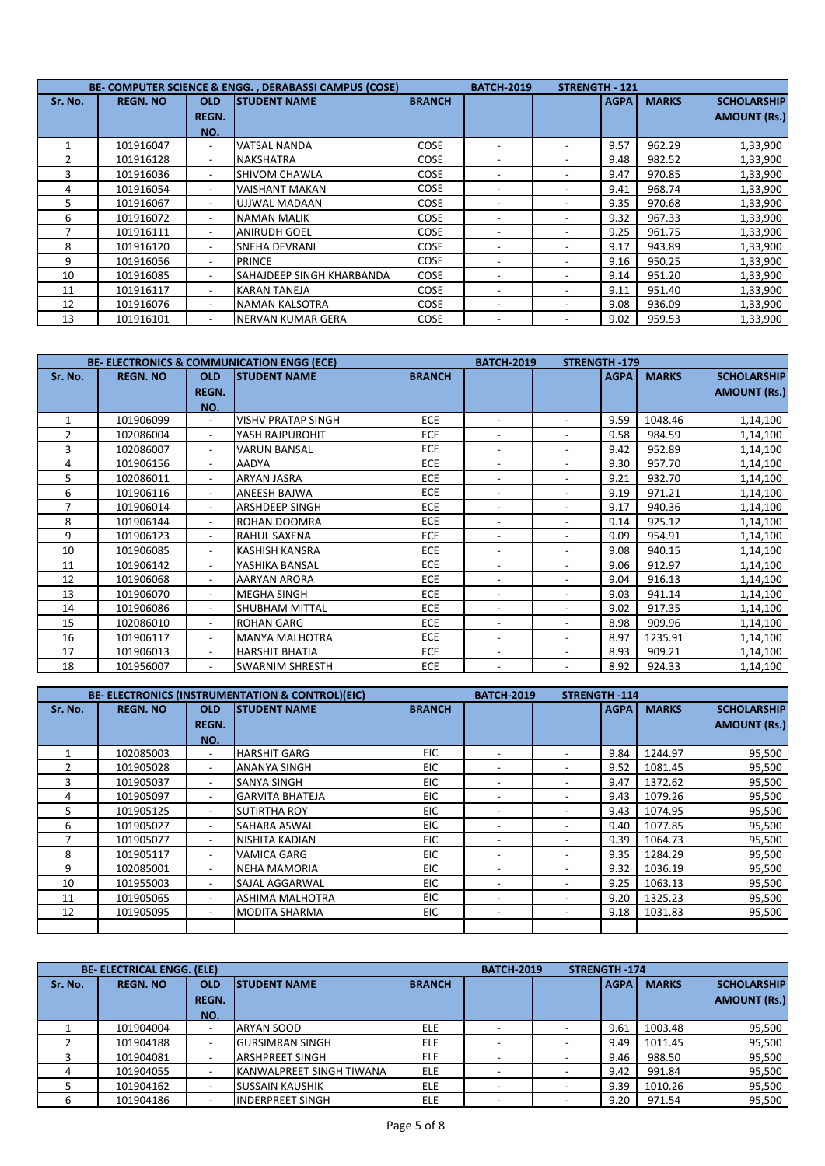|         |                 |                          | BE- COMPUTER SCIENCE & ENGG., DERABASSI CAMPUS (COSE) |               | <b>BATCH-2019</b>        | <b>STRENGTH - 121</b> |             |              |                     |
|---------|-----------------|--------------------------|-------------------------------------------------------|---------------|--------------------------|-----------------------|-------------|--------------|---------------------|
| Sr. No. | <b>REGN. NO</b> | <b>OLD</b>               | <b>STUDENT NAME</b>                                   | <b>BRANCH</b> |                          |                       | <b>AGPA</b> | <b>MARKS</b> | <b>SCHOLARSHIP</b>  |
|         |                 | <b>REGN.</b>             |                                                       |               |                          |                       |             |              | <b>AMOUNT (Rs.)</b> |
|         |                 | NO.                      |                                                       |               |                          |                       |             |              |                     |
|         | 101916047       | $\overline{\phantom{0}}$ | <b>VATSAL NANDA</b>                                   | COSE          |                          |                       | 9.57        | 962.29       | 1,33,900            |
|         | 101916128       |                          | <b>NAKSHATRA</b>                                      | <b>COSE</b>   |                          |                       | 9.48        | 982.52       | 1,33,900            |
|         | 101916036       | $\overline{\phantom{a}}$ | SHIVOM CHAWLA                                         | <b>COSE</b>   |                          |                       | 9.47        | 970.85       | 1,33,900            |
| 4       | 101916054       |                          | <b>VAISHANT MAKAN</b>                                 | <b>COSE</b>   |                          |                       | 9.41        | 968.74       | 1,33,900            |
| 5       | 101916067       | $\overline{\phantom{a}}$ | UJJWAL MADAAN                                         | <b>COSE</b>   |                          |                       | 9.35        | 970.68       | 1,33,900            |
| 6       | 101916072       | $\overline{\phantom{a}}$ | <b>NAMAN MALIK</b>                                    | COSE          |                          |                       | 9.32        | 967.33       | 1,33,900            |
|         | 101916111       | $\overline{\phantom{a}}$ | <b>ANIRUDH GOEL</b>                                   | <b>COSE</b>   |                          |                       | 9.25        | 961.75       | 1,33,900            |
| 8       | 101916120       |                          | <b>SNEHA DEVRANI</b>                                  | <b>COSE</b>   |                          |                       | 9.17        | 943.89       | 1,33,900            |
| 9       | 101916056       | $\overline{\phantom{0}}$ | <b>PRINCE</b>                                         | COSE          |                          |                       | 9.16        | 950.25       | 1,33,900            |
| 10      | 101916085       | $\overline{\phantom{a}}$ | SAHAJDEEP SINGH KHARBANDA                             | <b>COSE</b>   | $\overline{\phantom{0}}$ |                       | 9.14        | 951.20       | 1,33,900            |
| 11      | 101916117       | $\overline{\phantom{a}}$ | <b>KARAN TANEJA</b>                                   | <b>COSE</b>   |                          |                       | 9.11        | 951.40       | 1,33,900            |
| 12      | 101916076       | $\overline{\phantom{a}}$ | NAMAN KALSOTRA                                        | <b>COSE</b>   | ۰                        |                       | 9.08        | 936.09       | 1,33,900            |
| 13      | 101916101       |                          | <b>INERVAN KUMAR GERA</b>                             | <b>COSE</b>   |                          |                       | 9.02        | 959.53       | 1,33,900            |

|                |                 |                          | <b>BE- ELECTRONICS &amp; COMMUNICATION ENGG (ECE)</b> |               | <b>BATCH-2019</b>        | <b>STRENGTH-179</b>      |             |              |                     |
|----------------|-----------------|--------------------------|-------------------------------------------------------|---------------|--------------------------|--------------------------|-------------|--------------|---------------------|
| Sr. No.        | <b>REGN. NO</b> | <b>OLD</b>               | <b>STUDENT NAME</b>                                   | <b>BRANCH</b> |                          |                          | <b>AGPA</b> | <b>MARKS</b> | <b>SCHOLARSHIP</b>  |
|                |                 | <b>REGN.</b>             |                                                       |               |                          |                          |             |              | <b>AMOUNT (Rs.)</b> |
|                |                 | NO.                      |                                                       |               |                          |                          |             |              |                     |
|                | 101906099       | $\overline{\phantom{a}}$ | <b>VISHV PRATAP SINGH</b>                             | <b>ECE</b>    | $\overline{\phantom{0}}$ |                          | 9.59        | 1048.46      | 1,14,100            |
| $\overline{2}$ | 102086004       | $\overline{\phantom{a}}$ | YASH RAJPUROHIT                                       | ECE           | $\blacksquare$           |                          | 9.58        | 984.59       | 1,14,100            |
| 3              | 102086007       | $\overline{\phantom{a}}$ | <b>VARUN BANSAL</b>                                   | ECE           | $\overline{\phantom{a}}$ | $\overline{\phantom{a}}$ | 9.42        | 952.89       | 1,14,100            |
| 4              | 101906156       | $\blacksquare$           | <b>AADYA</b>                                          | <b>ECE</b>    | $\blacksquare$           |                          | 9.30        | 957.70       | 1,14,100            |
| 5              | 102086011       | ٠                        | <b>ARYAN JASRA</b>                                    | <b>ECE</b>    | $\overline{\phantom{a}}$ |                          | 9.21        | 932.70       | 1,14,100            |
| 6              | 101906116       | $\overline{\phantom{a}}$ | ANEESH BAJWA                                          | <b>ECE</b>    | $\overline{\phantom{a}}$ | $\overline{\phantom{a}}$ | 9.19        | 971.21       | 1,14,100            |
| $\overline{7}$ | 101906014       | $\overline{\phantom{a}}$ | <b>ARSHDEEP SINGH</b>                                 | <b>ECE</b>    | $\overline{a}$           |                          | 9.17        | 940.36       | 1,14,100            |
| 8              | 101906144       | ٠                        | <b>ROHAN DOOMRA</b>                                   | <b>ECE</b>    |                          |                          | 9.14        | 925.12       | 1,14,100            |
| 9              | 101906123       | $\overline{\phantom{a}}$ | <b>RAHUL SAXENA</b>                                   | <b>ECE</b>    |                          |                          | 9.09        | 954.91       | 1,14,100            |
| 10             | 101906085       | $\overline{\phantom{a}}$ | <b>KASHISH KANSRA</b>                                 | <b>ECE</b>    | $\overline{\phantom{a}}$ |                          | 9.08        | 940.15       | 1,14,100            |
| 11             | 101906142       | $\overline{\phantom{a}}$ | YASHIKA BANSAL                                        | <b>ECE</b>    | $\overline{\phantom{a}}$ |                          | 9.06        | 912.97       | 1,14,100            |
| 12             | 101906068       | $\overline{\phantom{a}}$ | <b>AARYAN ARORA</b>                                   | <b>ECE</b>    | $\blacksquare$           | $\overline{\phantom{a}}$ | 9.04        | 916.13       | 1,14,100            |
| 13             | 101906070       | $\overline{\phantom{a}}$ | <b>MEGHA SINGH</b>                                    | <b>ECE</b>    | $\blacksquare$           |                          | 9.03        | 941.14       | 1,14,100            |
| 14             | 101906086       | $\overline{\phantom{a}}$ | <b>SHUBHAM MITTAL</b>                                 | <b>ECE</b>    | $\overline{\phantom{a}}$ |                          | 9.02        | 917.35       | 1,14,100            |
| 15             | 102086010       | $\overline{\phantom{a}}$ | <b>ROHAN GARG</b>                                     | <b>ECE</b>    | $\overline{\phantom{a}}$ |                          | 8.98        | 909.96       | 1,14,100            |
| 16             | 101906117       | $\overline{\phantom{a}}$ | <b>MANYA MALHOTRA</b>                                 | <b>ECE</b>    |                          |                          | 8.97        | 1235.91      | 1,14,100            |
| 17             | 101906013       | $\overline{\phantom{a}}$ | <b>HARSHIT BHATIA</b>                                 | <b>ECE</b>    | $\blacksquare$           | $\overline{\phantom{a}}$ | 8.93        | 909.21       | 1,14,100            |
| 18             | 101956007       |                          | <b>SWARNIM SHRESTH</b>                                | <b>ECE</b>    | $\overline{\phantom{a}}$ |                          | 8.92        | 924.33       | 1,14,100            |

|         |                 |                          | BE- ELECTRONICS (INSTRUMENTATION & CONTROL)(EIC) |               | <b>BATCH-2019</b>        | <b>STRENGTH-114</b> |             |              |                     |
|---------|-----------------|--------------------------|--------------------------------------------------|---------------|--------------------------|---------------------|-------------|--------------|---------------------|
| Sr. No. | <b>REGN. NO</b> | <b>OLD</b>               | <b>STUDENT NAME</b>                              | <b>BRANCH</b> |                          |                     | <b>AGPA</b> | <b>MARKS</b> | <b>SCHOLARSHIP</b>  |
|         |                 | <b>REGN.</b>             |                                                  |               |                          |                     |             |              | <b>AMOUNT (Rs.)</b> |
|         |                 | NO.                      |                                                  |               |                          |                     |             |              |                     |
|         | 102085003       | $\blacksquare$           | <b>HARSHIT GARG</b>                              | EIC.          |                          |                     | 9.84        | 1244.97      | 95,500              |
|         | 101905028       |                          | <b>ANANYA SINGH</b>                              | EIC.          | -                        |                     | 9.52        | 1081.45      | 95,500              |
| 3       | 101905037       | $\overline{\phantom{0}}$ | <b>SANYA SINGH</b>                               | EIC           |                          |                     | 9.47        | 1372.62      | 95,500              |
| 4       | 101905097       | $\overline{\phantom{0}}$ | <b>GARVITA BHATEJA</b>                           | EIC.          | -                        |                     | 9.43        | 1079.26      | 95,500              |
| 5       | 101905125       | $\overline{\phantom{0}}$ | <b>SUTIRTHA ROY</b>                              | <b>EIC</b>    | -                        |                     | 9.43        | 1074.95      | 95,500              |
| 6       | 101905027       | $\overline{\phantom{a}}$ | <b>SAHARA ASWAL</b>                              | EIC.          | $\overline{\phantom{0}}$ |                     | 9.40        | 1077.85      | 95,500              |
|         | 101905077       | $\overline{\phantom{a}}$ | NISHITA KADIAN                                   | EIC           | $\overline{\phantom{0}}$ |                     | 9.39        | 1064.73      | 95,500              |
| 8       | 101905117       | $\overline{\phantom{a}}$ | <b>VAMICA GARG</b>                               | <b>EIC</b>    | $\overline{\phantom{0}}$ |                     | 9.35        | 1284.29      | 95,500              |
| 9       | 102085001       | $\overline{\phantom{a}}$ | <b>NEHA MAMORIA</b>                              | EIC.          | $\overline{\phantom{0}}$ |                     | 9.32        | 1036.19      | 95,500              |
| 10      | 101955003       | $\overline{\phantom{a}}$ | <b>SAJAL AGGARWAL</b>                            | <b>EIC</b>    | -                        |                     | 9.25        | 1063.13      | 95,500              |
| 11      | 101905065       |                          | ASHIMA MALHOTRA                                  | <b>EIC</b>    | ۰                        |                     | 9.20        | 1325.23      | 95,500              |
| 12      | 101905095       | $\overline{\phantom{0}}$ | <b>MODITA SHARMA</b>                             | <b>EIC</b>    | -                        |                     | 9.18        | 1031.83      | 95,500              |
|         |                 |                          |                                                  |               |                          |                     |             |              |                     |

|         | <b>BE- ELECTRICAL ENGG. (ELE)</b> |              |                          | <b>STRENGTH-174</b><br><b>BATCH-2019</b> |  |             |              |                     |  |
|---------|-----------------------------------|--------------|--------------------------|------------------------------------------|--|-------------|--------------|---------------------|--|
| Sr. No. | <b>REGN. NO</b>                   | <b>OLD</b>   | <b>ISTUDENT NAME</b>     | <b>BRANCH</b>                            |  | <b>AGPA</b> | <b>MARKS</b> | <b>SCHOLARSHIP</b>  |  |
|         |                                   | <b>REGN.</b> |                          |                                          |  |             |              | <b>AMOUNT (Rs.)</b> |  |
|         |                                   | NO.          |                          |                                          |  |             |              |                     |  |
|         | 101904004                         |              | <b>ARYAN SOOD</b>        | ELE                                      |  | 9.61        | 1003.48      | 95,500              |  |
|         | 101904188                         |              | <b>GURSIMRAN SINGH</b>   | ELE                                      |  | 9.49        | 1011.45      | 95,500              |  |
|         | 101904081                         |              | <b>ARSHPREET SINGH</b>   | <b>ELE</b>                               |  | 9.46        | 988.50       | 95,500              |  |
|         | 101904055                         |              | KANWALPREET SINGH TIWANA | <b>ELE</b>                               |  | 9.42        | 991.84       | 95,500              |  |
|         | 101904162                         |              | <b>SUSSAIN KAUSHIK</b>   | <b>ELE</b>                               |  | 9.39        | 1010.26      | 95,500              |  |
|         | 101904186                         |              | <b>INDERPREET SINGH</b>  | <b>ELE</b>                               |  | 9.20        | 971.54       | 95,500              |  |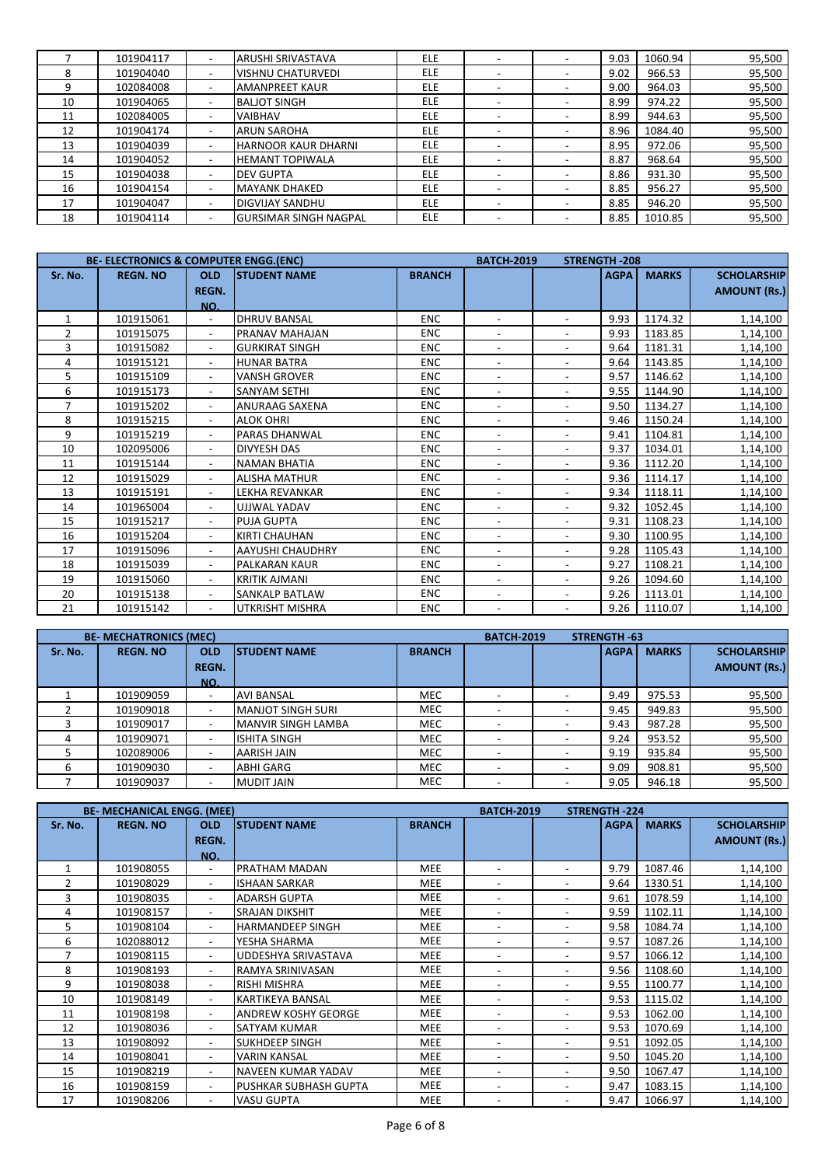|    | 101904117 | $\overline{\phantom{a}}$ | ARUSHI SRIVASTAVA            | <b>ELE</b> |                          | 9.03 | 1060.94 | 95,500 |
|----|-----------|--------------------------|------------------------------|------------|--------------------------|------|---------|--------|
| 8  | 101904040 | $\overline{\phantom{a}}$ | <b>VISHNU CHATURVEDI</b>     | <b>ELE</b> |                          | 9.02 | 966.53  | 95,500 |
| 9  | 102084008 | $\overline{\phantom{a}}$ | <b>AMANPREET KAUR</b>        | <b>ELE</b> |                          | 9.00 | 964.03  | 95,500 |
| 10 | 101904065 | $\overline{\phantom{a}}$ | <b>BALJOT SINGH</b>          | <b>ELE</b> | $\overline{\phantom{a}}$ | 8.99 | 974.22  | 95,500 |
| 11 | 102084005 | $\overline{\phantom{0}}$ | <b>VAIBHAV</b>               | <b>ELE</b> |                          | 8.99 | 944.63  | 95,500 |
| 12 | 101904174 |                          | <b>ARUN SAROHA</b>           | <b>ELE</b> |                          | 8.96 | 1084.40 | 95,500 |
| 13 | 101904039 |                          | <b>HARNOOR KAUR DHARNI</b>   | <b>ELE</b> |                          | 8.95 | 972.06  | 95,500 |
| 14 | 101904052 | $\overline{\phantom{0}}$ | <b>HEMANT TOPIWALA</b>       | <b>ELE</b> |                          | 8.87 | 968.64  | 95,500 |
| 15 | 101904038 | $\overline{\phantom{a}}$ | <b>DEV GUPTA</b>             | <b>ELE</b> |                          | 8.86 | 931.30  | 95,500 |
| 16 | 101904154 | $\overline{\phantom{a}}$ | <b>MAYANK DHAKED</b>         | <b>ELE</b> |                          | 8.85 | 956.27  | 95,500 |
| 17 | 101904047 |                          | <b>DIGVIJAY SANDHU</b>       | <b>ELE</b> |                          | 8.85 | 946.20  | 95,500 |
| 18 | 101904114 |                          | <b>GURSIMAR SINGH NAGPAL</b> | ELE        |                          | 8.85 | 1010.85 | 95,500 |

|                | <b>BE- ELECTRONICS &amp; COMPUTER ENGG. (ENC)</b> |                          |                         |               | <b>BATCH-2019</b>        |                          | <b>STRENGTH-208</b> |              |                     |
|----------------|---------------------------------------------------|--------------------------|-------------------------|---------------|--------------------------|--------------------------|---------------------|--------------|---------------------|
| Sr. No.        | <b>REGN. NO</b>                                   | <b>OLD</b>               | <b>STUDENT NAME</b>     | <b>BRANCH</b> |                          |                          | <b>AGPA</b>         | <b>MARKS</b> | <b>SCHOLARSHIP</b>  |
|                |                                                   | <b>REGN.</b>             |                         |               |                          |                          |                     |              | <b>AMOUNT (Rs.)</b> |
|                |                                                   | NO.                      |                         |               |                          |                          |                     |              |                     |
|                | 101915061                                         | $\overline{\phantom{a}}$ | <b>DHRUV BANSAL</b>     | <b>ENC</b>    |                          |                          | 9.93                | 1174.32      | 1,14,100            |
| $\overline{2}$ | 101915075                                         | $\blacksquare$           | PRANAV MAHAJAN          | <b>ENC</b>    | $\overline{\phantom{a}}$ |                          | 9.93                | 1183.85      | 1,14,100            |
| 3              | 101915082                                         | $\overline{\phantom{a}}$ | <b>GURKIRAT SINGH</b>   | <b>ENC</b>    | $\overline{a}$           |                          | 9.64                | 1181.31      | 1,14,100            |
| 4              | 101915121                                         | $\blacksquare$           | <b>HUNAR BATRA</b>      | <b>ENC</b>    | $\overline{\phantom{a}}$ |                          | 9.64                | 1143.85      | 1,14,100            |
| 5              | 101915109                                         | $\overline{\phantom{a}}$ | <b>VANSH GROVER</b>     | <b>ENC</b>    |                          |                          | 9.57                | 1146.62      | 1,14,100            |
| 6              | 101915173                                         | $\blacksquare$           | <b>SANYAM SETHI</b>     | <b>ENC</b>    | $\blacksquare$           |                          | 9.55                | 1144.90      | 1,14,100            |
| $\overline{7}$ | 101915202                                         | $\overline{\phantom{0}}$ | ANURAAG SAXENA          | <b>ENC</b>    | $\overline{\phantom{a}}$ |                          | 9.50                | 1134.27      | 1,14,100            |
| 8              | 101915215                                         | $\overline{\phantom{a}}$ | <b>ALOK OHRI</b>        | <b>ENC</b>    | $\overline{\phantom{a}}$ | $\overline{\phantom{a}}$ | 9.46                | 1150.24      | 1,14,100            |
| 9              | 101915219                                         | $\overline{\phantom{a}}$ | PARAS DHANWAL           | <b>ENC</b>    | $\overline{a}$           | $\overline{a}$           | 9.41                | 1104.81      | 1,14,100            |
| 10             | 102095006                                         | $\overline{\phantom{a}}$ | <b>DIVYESH DAS</b>      | <b>ENC</b>    | $\overline{\phantom{a}}$ | $\overline{a}$           | 9.37                | 1034.01      | 1,14,100            |
| 11             | 101915144                                         | $\overline{\phantom{a}}$ | <b>NAMAN BHATIA</b>     | <b>ENC</b>    | $\overline{\phantom{a}}$ | $\overline{a}$           | 9.36                | 1112.20      | 1,14,100            |
| 12             | 101915029                                         | $\overline{\phantom{a}}$ | <b>ALISHA MATHUR</b>    | <b>ENC</b>    | $\overline{\phantom{a}}$ | $\blacksquare$           | 9.36                | 1114.17      | 1,14,100            |
| 13             | 101915191                                         | $\overline{\phantom{a}}$ | <b>LEKHA REVANKAR</b>   | <b>ENC</b>    | $\overline{\phantom{a}}$ | $\overline{a}$           | 9.34                | 1118.11      | 1,14,100            |
| 14             | 101965004                                         | $\sim$                   | UJJWAL YADAV            | <b>ENC</b>    | $\overline{\phantom{a}}$ | $\overline{\phantom{a}}$ | 9.32                | 1052.45      | 1,14,100            |
| 15             | 101915217                                         | $\overline{\phantom{a}}$ | <b>PUJA GUPTA</b>       | <b>ENC</b>    | $\overline{\phantom{0}}$ | ٠                        | 9.31                | 1108.23      | 1,14,100            |
| 16             | 101915204                                         | $\sim$                   | <b>KIRTI CHAUHAN</b>    | <b>ENC</b>    | $\overline{\phantom{a}}$ | ٠                        | 9.30                | 1100.95      | 1,14,100            |
| 17             | 101915096                                         |                          | <b>AAYUSHI CHAUDHRY</b> | <b>ENC</b>    |                          |                          | 9.28                | 1105.43      | 1,14,100            |
| 18             | 101915039                                         |                          | PALKARAN KAUR           | <b>ENC</b>    |                          |                          | 9.27                | 1108.21      | 1,14,100            |
| 19             | 101915060                                         |                          | <b>KRITIK AJMANI</b>    | <b>ENC</b>    |                          |                          | 9.26                | 1094.60      | 1,14,100            |
| 20             | 101915138                                         | $\overline{\phantom{0}}$ | SANKALP BATLAW          | <b>ENC</b>    | $\overline{\phantom{a}}$ |                          | 9.26                | 1113.01      | 1,14,100            |
| 21             | 101915142                                         |                          | UTKRISHT MISHRA         | <b>ENC</b>    |                          |                          | 9.26                | 1110.07      | 1,14,100            |

|         | <b>BE- MECHATRONICS (MEC)</b> |                          |                           |               | <b>BATCH-2019</b> | <b>STRENGTH -63</b> |             |              |                     |
|---------|-------------------------------|--------------------------|---------------------------|---------------|-------------------|---------------------|-------------|--------------|---------------------|
| Sr. No. | <b>REGN. NO</b>               | <b>OLD</b>               | <b>ISTUDENT NAME</b>      | <b>BRANCH</b> |                   |                     | <b>AGPA</b> | <b>MARKS</b> | <b>SCHOLARSHIP</b>  |
|         |                               | <b>REGN.</b>             |                           |               |                   |                     |             |              | <b>AMOUNT (Rs.)</b> |
|         |                               | NO.                      |                           |               |                   |                     |             |              |                     |
|         | 101909059                     | $\overline{\phantom{a}}$ | <b>AVI BANSAL</b>         | <b>MEC</b>    |                   |                     | 9.49        | 975.53       | 95,500              |
|         | 101909018                     | $\overline{\phantom{0}}$ | <b>MANJOT SINGH SURI</b>  | <b>MEC</b>    |                   |                     | 9.45        | 949.83       | 95,500              |
|         | 101909017                     |                          | <b>MANVIR SINGH LAMBA</b> | <b>MEC</b>    |                   |                     | 9.43        | 987.28       | 95,500              |
|         | 101909071                     |                          | <b>ISHITA SINGH</b>       | <b>MEC</b>    |                   |                     | 9.24        | 953.52       | 95,500              |
|         | 102089006                     |                          | AARISH JAIN               | <b>MEC</b>    |                   |                     | 9.19        | 935.84       | 95,500              |
| ь       | 101909030                     |                          | <b>ABHI GARG</b>          | <b>MEC</b>    |                   |                     | 9.09        | 908.81       | 95,500              |
|         | 101909037                     | -                        | <b>MUDIT JAIN</b>         | <b>MEC</b>    |                   |                     | 9.05        | 946.18       | 95,500              |

|                | <b>BE- MECHANICAL ENGG. (MEE)</b> |                          |                            |               | <b>BATCH-2019</b>        |   | <b>STRENGTH-224</b> |              |                     |
|----------------|-----------------------------------|--------------------------|----------------------------|---------------|--------------------------|---|---------------------|--------------|---------------------|
| Sr. No.        | <b>REGN. NO</b>                   | <b>OLD</b>               | <b>STUDENT NAME</b>        | <b>BRANCH</b> |                          |   | <b>AGPA</b>         | <b>MARKS</b> | <b>SCHOLARSHIP</b>  |
|                |                                   | <b>REGN.</b>             |                            |               |                          |   |                     |              | <b>AMOUNT (Rs.)</b> |
|                |                                   | NO.                      |                            |               |                          |   |                     |              |                     |
|                | 101908055                         | $\sim$                   | PRATHAM MADAN              | <b>MEE</b>    | ۰                        |   | 9.79                | 1087.46      | 1,14,100            |
| 2              | 101908029                         | $\overline{\phantom{a}}$ | <b>ISHAAN SARKAR</b>       | <b>MEE</b>    | $\overline{\phantom{0}}$ |   | 9.64                | 1330.51      | 1,14,100            |
| 3              | 101908035                         | ۰                        | <b>ADARSH GUPTA</b>        | <b>MEE</b>    | ۰                        |   | 9.61                | 1078.59      | 1,14,100            |
| 4              | 101908157                         | $\overline{\phantom{a}}$ | SRAJAN DIKSHIT             | MEE           | $\overline{\phantom{0}}$ |   | 9.59                | 1102.11      | 1,14,100            |
| 5              | 101908104                         | ۰                        | <b>HARMANDEEP SINGH</b>    | <b>MEE</b>    | ۰                        |   | 9.58                | 1084.74      | 1,14,100            |
| 6              | 102088012                         | $\overline{\phantom{a}}$ | YESHA SHARMA               | <b>MEE</b>    | ۰                        |   | 9.57                | 1087.26      | 1,14,100            |
| $\overline{7}$ | 101908115                         | ۰.                       | UDDESHYA SRIVASTAVA        | <b>MEE</b>    | $\overline{a}$           |   | 9.57                | 1066.12      | 1,14,100            |
| 8              | 101908193                         |                          | RAMYA SRINIVASAN           | <b>MEE</b>    | $\overline{\phantom{0}}$ |   | 9.56                | 1108.60      | 1,14,100            |
| 9              | 101908038                         | $\overline{\phantom{a}}$ | RISHI MISHRA               | <b>MEE</b>    | ۰                        | ۰ | 9.55                | 1100.77      | 1,14,100            |
| 10             | 101908149                         | ۰                        | <b>KARTIKEYA BANSAL</b>    | <b>MEE</b>    | ۰                        |   | 9.53                | 1115.02      | 1,14,100            |
| 11             | 101908198                         | $\overline{\phantom{a}}$ | <b>ANDREW KOSHY GEORGE</b> | <b>MEE</b>    | ۰                        |   | 9.53                | 1062.00      | 1,14,100            |
| 12             | 101908036                         | ۰                        | SATYAM KUMAR               | <b>MEE</b>    | ۰                        |   | 9.53                | 1070.69      | 1,14,100            |
| 13             | 101908092                         | $\blacksquare$           | <b>SUKHDEEP SINGH</b>      | <b>MEE</b>    | ۰                        | ۰ | 9.51                | 1092.05      | 1,14,100            |
| 14             | 101908041                         | $\sim$                   | <b>VARIN KANSAL</b>        | <b>MEE</b>    | $\overline{\phantom{0}}$ |   | 9.50                | 1045.20      | 1,14,100            |
| 15             | 101908219                         | $\overline{\phantom{a}}$ | NAVEEN KUMAR YADAV         | <b>MEE</b>    | $\overline{\phantom{0}}$ |   | 9.50                | 1067.47      | 1,14,100            |
| 16             | 101908159                         | $\overline{\phantom{a}}$ | PUSHKAR SUBHASH GUPTA      | <b>MEE</b>    | $\overline{\phantom{0}}$ |   | 9.47                | 1083.15      | 1,14,100            |
| 17             | 101908206                         | ۰                        | <b>VASU GUPTA</b>          | <b>MEE</b>    | $\overline{\phantom{0}}$ |   | 9.47                | 1066.97      | 1,14,100            |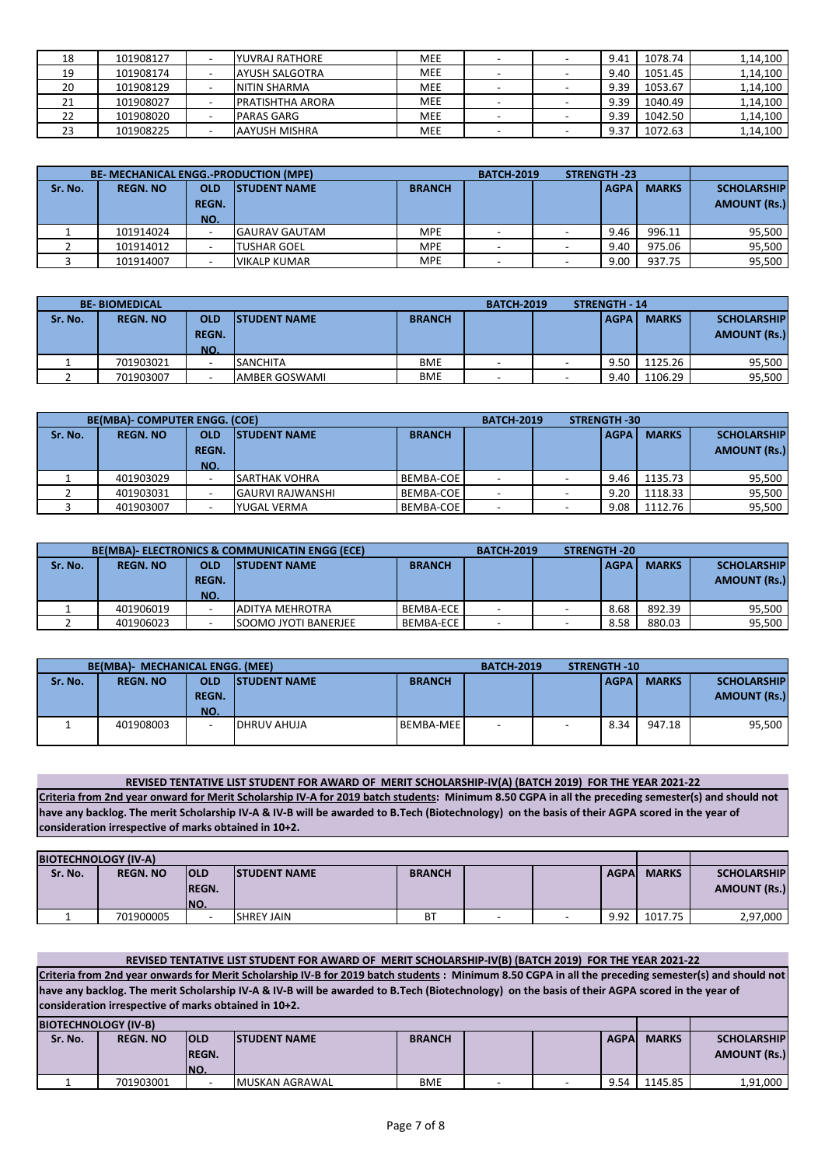| 18 | 101908127 | YUVRAJ RATHORE           | <b>MEE</b> |  | 9.41 | 1078.74 | 1,14,100 |
|----|-----------|--------------------------|------------|--|------|---------|----------|
| 19 | 101908174 | AYUSH SALGOTRA           | <b>MEE</b> |  | 9.40 | 1051.45 | 1,14,100 |
| 20 | 101908129 | <b>INITIN SHARMA</b>     | <b>MEE</b> |  | 9.39 | 1053.67 | 1,14,100 |
| ᅩ  | 101908027 | <b>IPRATISHTHA ARORA</b> | <b>MEE</b> |  | 9.39 | 1040.49 | 1,14,100 |
| 22 | 101908020 | PARAS GARG               | <b>MEE</b> |  | 9.39 | 1042.50 | 1,14,100 |
| 23 | 101908225 | AAYUSH MISHRA            | <b>MEE</b> |  | 9.37 | 1072.63 | 1,14,100 |

|         | <b>BE- MECHANICAL ENGG.-PRODUCTION (MPE)</b> |              |                      |               | <b>BATCH-2019</b> | <b>STRENGTH -23</b> |        |                     |
|---------|----------------------------------------------|--------------|----------------------|---------------|-------------------|---------------------|--------|---------------------|
| Sr. No. | <b>REGN. NO</b>                              | <b>OLD</b>   | <b>ISTUDENT NAME</b> | <b>BRANCH</b> | <b>MARKS</b>      | <b>SCHOLARSHIP</b>  |        |                     |
|         |                                              | <b>REGN.</b> |                      |               |                   |                     |        | <b>AMOUNT (Rs.)</b> |
|         |                                              | NO.          |                      |               |                   |                     |        |                     |
|         | 101914024                                    |              | <b>GAURAV GAUTAM</b> | <b>MPE</b>    |                   | 9.46                | 996.11 | 95,500              |
|         | 101914012                                    |              | <b>TUSHAR GOEL</b>   | <b>MPE</b>    |                   | 9.40                | 975.06 | 95,500              |
|         | 101914007                                    |              | <b>VIKALP KUMAR</b>  | <b>MPE</b>    |                   | 9.00                | 937.75 | 95,500              |

|         | <b>BE-BIOMEDICAL</b> |              |                                       |            | <b>BATCH-2019</b>        | <b>STRENGTH - 14</b> |              |                     |
|---------|----------------------|--------------|---------------------------------------|------------|--------------------------|----------------------|--------------|---------------------|
| Sr. No. | <b>REGN. NO</b>      | <b>OLD</b>   | <b>ISTUDENT NAME</b><br><b>BRANCH</b> |            |                          | <b>AGPA</b>          | <b>MARKS</b> | <b>SCHOLARSHIP</b>  |
|         |                      | <b>REGN.</b> |                                       |            |                          |                      |              | <b>AMOUNT (Rs.)</b> |
|         |                      | NO.          |                                       |            |                          |                      |              |                     |
|         | 701903021            |              | <b>SANCHITA</b>                       | <b>BME</b> | $\overline{\phantom{a}}$ | 9.50                 | 1125.26      | 95,500              |
|         | 701903007            |              | AMBER GOSWAMI                         | <b>BME</b> |                          | 9.40                 | 1106.29      | 95,500              |

|         | <b>BE(MBA)- COMPUTER ENGG. (COE)</b> |              |                         |                  | <b>BATCH-2019</b> | <b>STRENGTH-30</b> |              |                     |
|---------|--------------------------------------|--------------|-------------------------|------------------|-------------------|--------------------|--------------|---------------------|
| Sr. No. | <b>REGN. NO</b>                      | OLD          | <b>ISTUDENT NAME</b>    | <b>BRANCH</b>    |                   | <b>AGPA</b>        | <b>MARKS</b> | <b>SCHOLARSHIP</b>  |
|         |                                      | <b>REGN.</b> |                         |                  |                   |                    |              | <b>AMOUNT (Rs.)</b> |
|         |                                      | NO.          |                         |                  |                   |                    |              |                     |
|         | 401903029                            |              | <b>SARTHAK VOHRA</b>    | <b>BEMBA-COE</b> |                   | 9.46               | 1135.73      | 95,500              |
|         | 401903031                            |              | <b>GAURVI RAJWANSHI</b> | BEMBA-COE        |                   | 9.20               | 1118.33      | 95,500              |
|         | 401903007                            |              | YUGAL VERMA             | <b>BEMBA-COE</b> |                   | 9.08               | 1112.76      | 95,500              |

|         |                 |                                   | <b>BE(MBA)- ELECTRONICS &amp; COMMUNICATIN ENGG (ECE)</b> |                  | <b>BATCH-2019</b> | <b>STRENGTH-20</b> |              |              |                                           |
|---------|-----------------|-----------------------------------|-----------------------------------------------------------|------------------|-------------------|--------------------|--------------|--------------|-------------------------------------------|
| Sr. No. | <b>REGN. NO</b> | <b>OLD</b><br><b>REGN.</b><br>NO. | <b>ISTUDENT NAME</b>                                      | <b>BRANCH</b>    |                   |                    | <b>LAGPA</b> | <b>MARKS</b> | <b>SCHOLARSHIP</b><br><b>AMOUNT (Rs.)</b> |
|         | 401906019       |                                   | ADITYA MEHROTRA                                           | <b>BEMBA-ECE</b> |                   |                    | 8.68         | 892.39       | 95,500                                    |
|         | 401906023       |                                   | <b>SOOMO JYOTI BANERJEE</b>                               | <b>BEMBA-ECE</b> |                   |                    | 8.58         | 880.03       | 95,500                                    |

|         | <b>BE(MBA)- MECHANICAL ENGG. (MEE)</b> |                                   |                      |                  | <b>BATCH-2019</b> |                          | <b>STRENGTH-10</b> |              |                                           |
|---------|----------------------------------------|-----------------------------------|----------------------|------------------|-------------------|--------------------------|--------------------|--------------|-------------------------------------------|
| Sr. No. | <b>REGN. NO</b>                        | <b>OLD</b><br><b>REGN.</b><br>NO. | <b>ISTUDENT NAME</b> | <b>BRANCH</b>    |                   |                          | <b>LAGPA</b>       | <b>MARKS</b> | <b>SCHOLARSHIP</b><br><b>AMOUNT (Rs.)</b> |
|         | 401908003                              | $\overline{\phantom{0}}$          | DHRUV AHUJA          | <b>BEMBA-MEE</b> |                   | $\overline{\phantom{a}}$ | 8.34               | 947.18       | 95,500                                    |

**REVISED TENTATIVE LIST STUDENT FOR AWARD OF MERIT SCHOLARSHIP-IV(A) (BATCH 2019) FOR THE YEAR 2021-22 Criteria from 2nd year onward for Merit Scholarship IV-A for 2019 batch students: Minimum 8.50 CGPA in all the preceding semester(s) and should not have any backlog. The merit Scholarship IV-A & IV-B will be awarded to B.Tech (Biotechnology) on the basis of their AGPA scored in the year of consideration irrespective of marks obtained in 10+2.**

|         | <b>BIOTECHNOLOGY (IV-A)</b> |                                      |                      |                |  |  |              |              |                                           |
|---------|-----------------------------|--------------------------------------|----------------------|----------------|--|--|--------------|--------------|-------------------------------------------|
| Sr. No. | <b>REGN. NO</b>             | <b>IOLD</b><br><b>IREGN.</b><br>INO. | <b>ISTUDENT NAME</b> | <b>BRANCH</b>  |  |  | <b>AGPAI</b> | <b>MARKS</b> | <b>SCHOLARSHIP</b><br><b>AMOUNT (Rs.)</b> |
|         | 701900005                   | -                                    | <b>SHREY JAIN</b>    | B <sup>T</sup> |  |  | 9.92         | 1017.75      | 2,97,000                                  |

|                             | REVISED TENTATIVE LIST STUDENT FOR AWARD OF MERIT SCHOLARSHIP-IV(B) (BATCH 2019) FOR THE YEAR 2021-22                                                 |            |                                                                                                                                                |               |  |  |              |              |                            |  |  |  |  |  |  |  |  |  |  |
|-----------------------------|-------------------------------------------------------------------------------------------------------------------------------------------------------|------------|------------------------------------------------------------------------------------------------------------------------------------------------|---------------|--|--|--------------|--------------|----------------------------|--|--|--|--|--|--|--|--|--|--|
|                             | Criteria from 2nd year onwards for Merit Scholarship IV-B for 2019 batch students : Minimum 8.50 CGPA in all the preceding semester(s) and should not |            |                                                                                                                                                |               |  |  |              |              |                            |  |  |  |  |  |  |  |  |  |  |
|                             |                                                                                                                                                       |            | have any backlog. The merit Scholarship IV-A & IV-B will be awarded to B.Tech (Biotechnology) on the basis of their AGPA scored in the year of |               |  |  |              |              |                            |  |  |  |  |  |  |  |  |  |  |
|                             | consideration irrespective of marks obtained in 10+2.                                                                                                 |            |                                                                                                                                                |               |  |  |              |              |                            |  |  |  |  |  |  |  |  |  |  |
| <b>BIOTECHNOLOGY (IV-B)</b> |                                                                                                                                                       |            |                                                                                                                                                |               |  |  |              |              |                            |  |  |  |  |  |  |  |  |  |  |
| Sr. No.                     | <b>REGN. NO</b>                                                                                                                                       | <b>OLD</b> | <b>ISTUDENT NAME</b>                                                                                                                           | <b>BRANCH</b> |  |  | <b>AGPAI</b> | <b>MARKS</b> | <b>SCHOLARSHIP</b>         |  |  |  |  |  |  |  |  |  |  |
|                             | <b>AMOUNT (Rs.)</b><br><b>REGN.</b>                                                                                                                   |            |                                                                                                                                                |               |  |  |              |              |                            |  |  |  |  |  |  |  |  |  |  |
| INO.                        |                                                                                                                                                       |            |                                                                                                                                                |               |  |  |              |              |                            |  |  |  |  |  |  |  |  |  |  |
|                             | 701903001                                                                                                                                             |            |                                                                                                                                                | <b>BME</b>    |  |  | 9.54         | 1145.85      | 1,91,000<br>MUSKAN AGRAWAL |  |  |  |  |  |  |  |  |  |  |